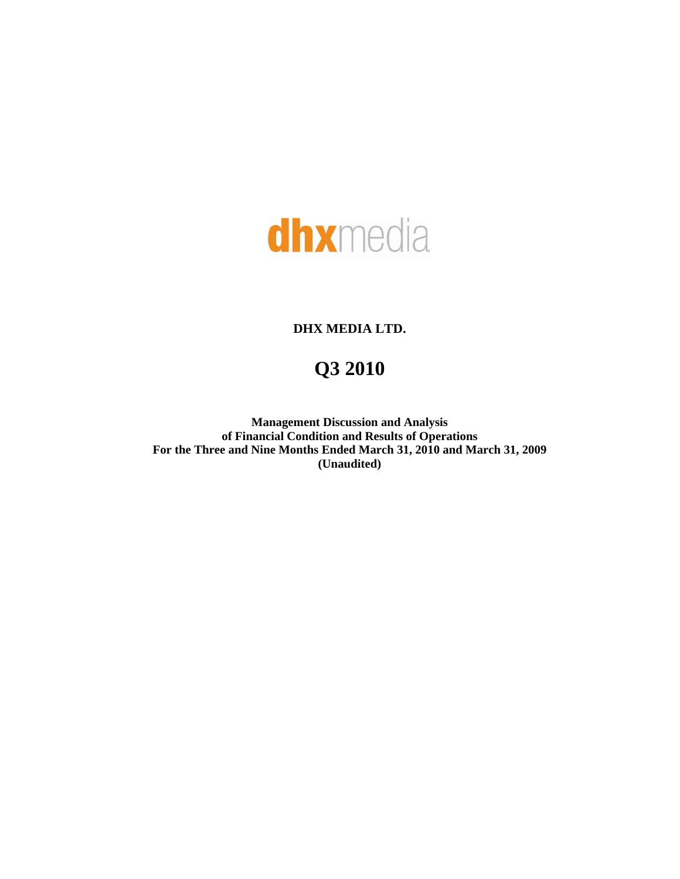

# **DHX MEDIA LTD.**

# **Q3 2010**

**Management Discussion and Analysis of Financial Condition and Results of Operations For the Three and Nine Months Ended March 31, 2010 and March 31, 2009 (Unaudited)**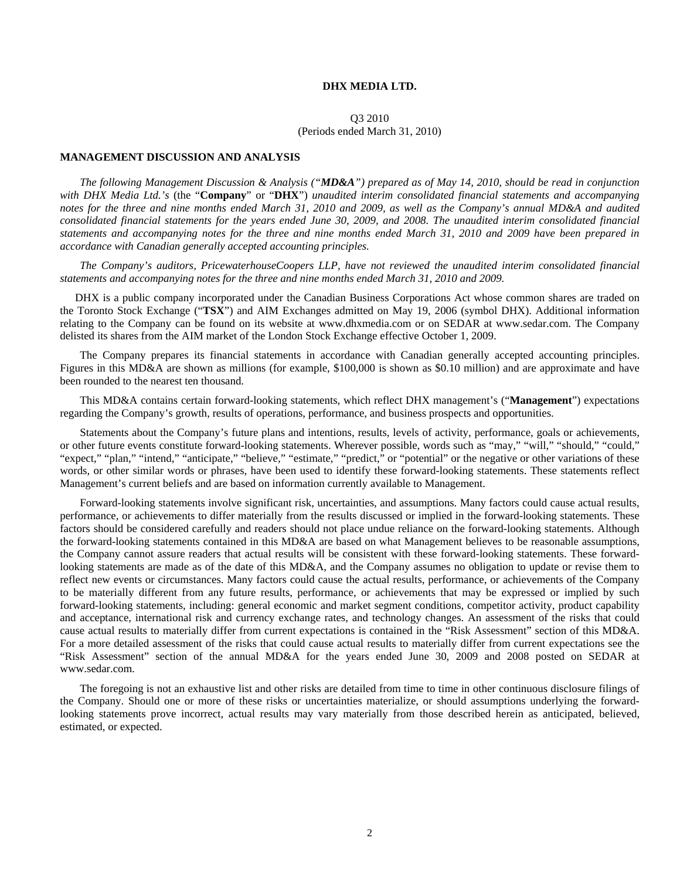#### **DHX MEDIA LTD.**

#### Q3 2010 (Periods ended March 31, 2010)

#### **MANAGEMENT DISCUSSION AND ANALYSIS**

*The following Management Discussion & Analysis ("MD&A") prepared as of May 14, 2010, should be read in conjunction with DHX Media Ltd.'s* (the "**Company**" or "**DHX**") *unaudited interim consolidated financial statements and accompanying*  notes for the three and nine months ended March 31, 2010 and 2009, as well as the Company's annual MD&A and audited *consolidated financial statements for the years ended June 30, 2009, and 2008. The unaudited interim consolidated financial statements and accompanying notes for the three and nine months ended March 31, 2010 and 2009 have been prepared in accordance with Canadian generally accepted accounting principles.* 

*The Company's auditors, PricewaterhouseCoopers LLP, have not reviewed the unaudited interim consolidated financial statements and accompanying notes for the three and nine months ended March 31, 2010 and 2009.* 

DHX is a public company incorporated under the Canadian Business Corporations Act whose common shares are traded on the Toronto Stock Exchange ("**TSX**") and AIM Exchanges admitted on May 19, 2006 (symbol DHX). Additional information relating to the Company can be found on its website at www.dhxmedia.com or on SEDAR at www.sedar.com. The Company delisted its shares from the AIM market of the London Stock Exchange effective October 1, 2009.

The Company prepares its financial statements in accordance with Canadian generally accepted accounting principles. Figures in this MD&A are shown as millions (for example, \$100,000 is shown as \$0.10 million) and are approximate and have been rounded to the nearest ten thousand.

This MD&A contains certain forward-looking statements, which reflect DHX management's ("**Management**") expectations regarding the Company's growth, results of operations, performance, and business prospects and opportunities.

Statements about the Company's future plans and intentions, results, levels of activity, performance, goals or achievements, or other future events constitute forward-looking statements. Wherever possible, words such as "may," "will," "should," "could," "expect," "plan," "intend," "anticipate," "believe," "estimate," "predict," or "potential" or the negative or other variations of these words, or other similar words or phrases, have been used to identify these forward-looking statements. These statements reflect Management's current beliefs and are based on information currently available to Management.

Forward-looking statements involve significant risk, uncertainties, and assumptions. Many factors could cause actual results, performance, or achievements to differ materially from the results discussed or implied in the forward-looking statements. These factors should be considered carefully and readers should not place undue reliance on the forward-looking statements. Although the forward-looking statements contained in this MD&A are based on what Management believes to be reasonable assumptions, the Company cannot assure readers that actual results will be consistent with these forward-looking statements. These forwardlooking statements are made as of the date of this MD&A, and the Company assumes no obligation to update or revise them to reflect new events or circumstances. Many factors could cause the actual results, performance, or achievements of the Company to be materially different from any future results, performance, or achievements that may be expressed or implied by such forward-looking statements, including: general economic and market segment conditions, competitor activity, product capability and acceptance, international risk and currency exchange rates, and technology changes. An assessment of the risks that could cause actual results to materially differ from current expectations is contained in the "Risk Assessment" section of this MD&A. For a more detailed assessment of the risks that could cause actual results to materially differ from current expectations see the "Risk Assessment" section of the annual MD&A for the years ended June 30, 2009 and 2008 posted on SEDAR at www.sedar.com.

The foregoing is not an exhaustive list and other risks are detailed from time to time in other continuous disclosure filings of the Company. Should one or more of these risks or uncertainties materialize, or should assumptions underlying the forwardlooking statements prove incorrect, actual results may vary materially from those described herein as anticipated, believed, estimated, or expected.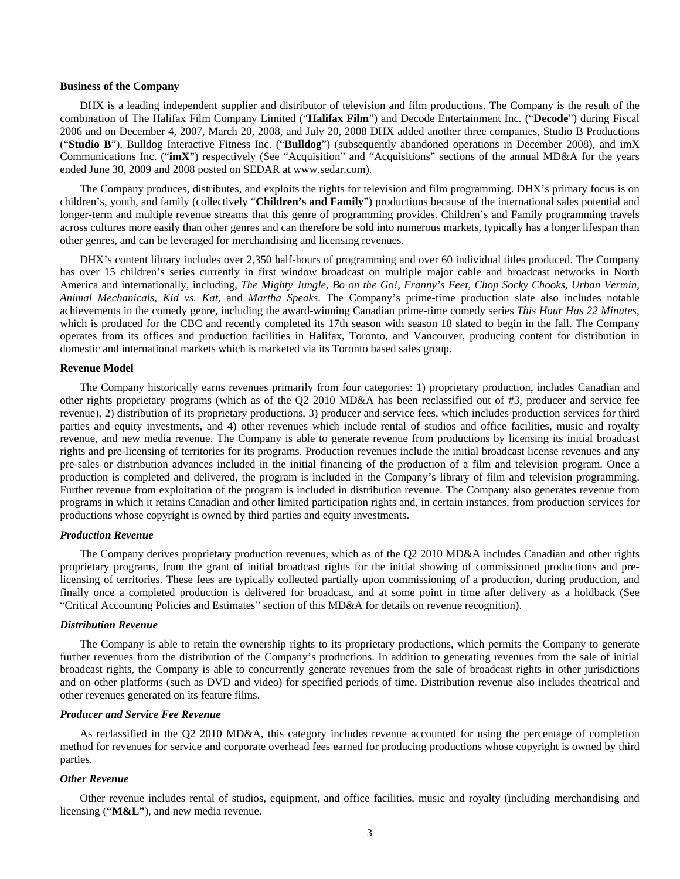#### **Business of the Company**

DHX is a leading independent supplier and distributor of television and film productions. The Company is the result of the combination of The Halifax Film Company Limited ("**Halifax Film**") and Decode Entertainment Inc. ("**Decode**") during Fiscal 2006 and on December 4, 2007, March 20, 2008, and July 20, 2008 DHX added another three companies, Studio B Productions ("**Studio B**"), Bulldog Interactive Fitness Inc. ("**Bulldog**") (subsequently abandoned operations in December 2008), and imX Communications Inc. ("**imX**") respectively (See "Acquisition" and "Acquisitions" sections of the annual MD&A for the years ended June 30, 2009 and 2008 posted on SEDAR at www.sedar.com).

The Company produces, distributes, and exploits the rights for television and film programming. DHX's primary focus is on children's, youth, and family (collectively "**Children's and Family**") productions because of the international sales potential and longer-term and multiple revenue streams that this genre of programming provides. Children's and Family programming travels across cultures more easily than other genres and can therefore be sold into numerous markets, typically has a longer lifespan than other genres, and can be leveraged for merchandising and licensing revenues.

DHX's content library includes over 2,350 half-hours of programming and over 60 individual titles produced. The Company has over 15 children's series currently in first window broadcast on multiple major cable and broadcast networks in North America and internationally, including, *The Mighty Jungle, Bo on the Go!, Franny's Feet, Chop Socky Chooks, Urban Vermin, Animal Mechanicals, Kid vs. Kat,* and *Martha Speaks*. The Company's prime-time production slate also includes notable achievements in the comedy genre, including the award-winning Canadian prime-time comedy series *This Hour Has 22 Minutes*, which is produced for the CBC and recently completed its 17th season with season 18 slated to begin in the fall. The Company operates from its offices and production facilities in Halifax, Toronto, and Vancouver, producing content for distribution in domestic and international markets which is marketed via its Toronto based sales group.

#### **Revenue Model**

The Company historically earns revenues primarily from four categories: 1) proprietary production, includes Canadian and other rights proprietary programs (which as of the Q2 2010 MD&A has been reclassified out of #3, producer and service fee revenue), 2) distribution of its proprietary productions, 3) producer and service fees, which includes production services for third parties and equity investments, and 4) other revenues which include rental of studios and office facilities, music and royalty revenue, and new media revenue. The Company is able to generate revenue from productions by licensing its initial broadcast rights and pre-licensing of territories for its programs. Production revenues include the initial broadcast license revenues and any pre-sales or distribution advances included in the initial financing of the production of a film and television program. Once a production is completed and delivered, the program is included in the Company's library of film and television programming. Further revenue from exploitation of the program is included in distribution revenue. The Company also generates revenue from programs in which it retains Canadian and other limited participation rights and, in certain instances, from production services for productions whose copyright is owned by third parties and equity investments.

#### *Production Revenue*

The Company derives proprietary production revenues, which as of the Q2 2010 MD&A includes Canadian and other rights proprietary programs, from the grant of initial broadcast rights for the initial showing of commissioned productions and prelicensing of territories. These fees are typically collected partially upon commissioning of a production, during production, and finally once a completed production is delivered for broadcast, and at some point in time after delivery as a holdback (See "Critical Accounting Policies and Estimates" section of this MD&A for details on revenue recognition).

#### *Distribution Revenue*

The Company is able to retain the ownership rights to its proprietary productions, which permits the Company to generate further revenues from the distribution of the Company's productions. In addition to generating revenues from the sale of initial broadcast rights, the Company is able to concurrently generate revenues from the sale of broadcast rights in other jurisdictions and on other platforms (such as DVD and video) for specified periods of time. Distribution revenue also includes theatrical and other revenues generated on its feature films.

#### *Producer and Service Fee Revenue*

As reclassified in the Q2 2010 MD&A, this category includes revenue accounted for using the percentage of completion method for revenues for service and corporate overhead fees earned for producing productions whose copyright is owned by third parties.

#### *Other Revenue*

Other revenue includes rental of studios, equipment, and office facilities, music and royalty (including merchandising and licensing (**"M&L"**), and new media revenue.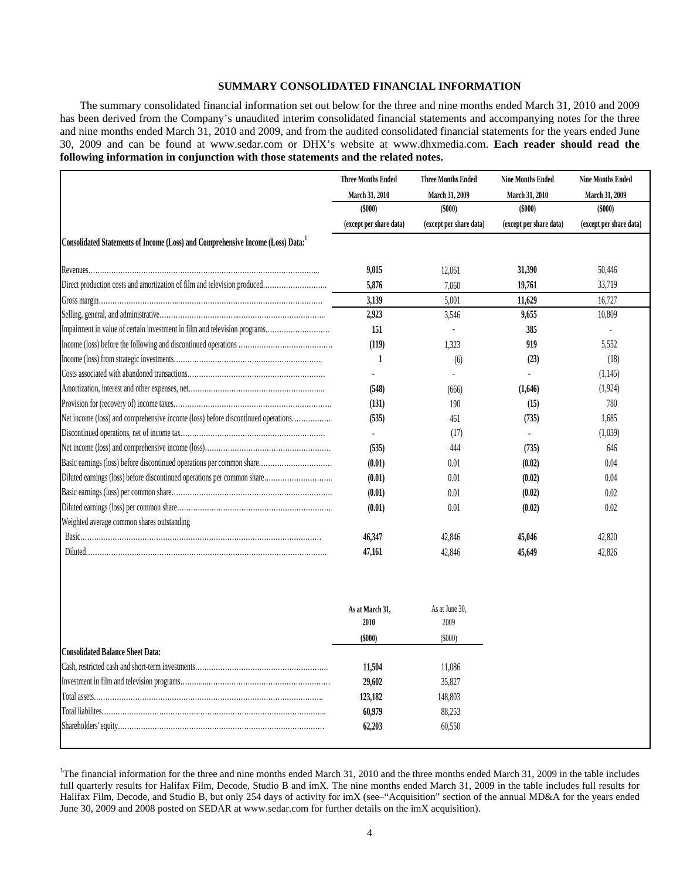## **SUMMARY CONSOLIDATED FINANCIAL INFORMATION**

The summary consolidated financial information set out below for the three and nine months ended March 31, 2010 and 2009 has been derived from the Company's unaudited interim consolidated financial statements and accompanying notes for the three and nine months ended March 31, 2010 and 2009, and from the audited consolidated financial statements for the years ended June 30, 2009 and can be found at www.sedar.com or DHX's website at www.dhxmedia.com. Each reader should read the **following information in conjunction with those statements and the related notes.** 

|                                                                                  | <b>Three Months Ended</b> | <b>Three Months Ended</b> | <b>Nine Months Ended</b> | <b>Nine Months Ended</b> |
|----------------------------------------------------------------------------------|---------------------------|---------------------------|--------------------------|--------------------------|
|                                                                                  | March 31, 2010            | March 31, 2009            | March 31, 2010           | March 31, 2009           |
|                                                                                  | $($ \$000 $)$             | $($ \$000 $)$             | $($ \$000 $)$            | $($ \$000 $)$            |
|                                                                                  | (except per share data)   | (except per share data)   | (except per share data)  | (except per share data)  |
| Consolidated Statements of Income (Loss) and Comprehensive Income (Loss) Data:   |                           |                           |                          |                          |
|                                                                                  | 9,015                     | 12,061                    | 31,390                   | 50,446                   |
| Direct production costs and amortization of film and television produced         | 5.876                     | 7,060                     | 19,761                   | 33,719                   |
|                                                                                  | 3,139                     | 5.001                     | 11.629                   | 16.727                   |
|                                                                                  | 2,923                     | 3,546                     | 9,655                    | 10,809                   |
| Impairment in value of certain investment in film and television programs        | 151                       |                           | 385                      |                          |
|                                                                                  | (119)                     | 1,323                     | 919                      | 5,552                    |
|                                                                                  | 1                         | (6)                       | (23)                     | (18)                     |
|                                                                                  |                           |                           |                          | (1,145)                  |
|                                                                                  | (548)                     | (666)                     | (1,646)                  | (1,924)                  |
|                                                                                  | (131)                     | 190                       | (15)                     | 780                      |
| Net income (loss) and comprehensive income (loss) before discontinued operations | (535)                     | 461                       | (735)                    | 1,685                    |
|                                                                                  |                           | (17)                      |                          | (1,039)                  |
|                                                                                  | (535)                     | 444                       | (735)                    | 646                      |
| Basic earnings (loss) before discontinued operations per common share            | (0.01)                    | 0.01                      | (0.02)                   | 0.04                     |
| Diluted earnings (loss) before discontinued operations per common share          | (0.01)                    | 0.01                      | (0.02)                   | 0.04                     |
|                                                                                  | (0.01)                    | 0.01                      | (0.02)                   | 0.02                     |
|                                                                                  | (0.01)                    | 0.01                      | (0.02)                   | 0.02                     |
| Weighted average common shares outstanding                                       |                           |                           |                          |                          |
|                                                                                  | 46,347                    | 42,846                    | 45,046                   | 42,820                   |
|                                                                                  | 47,161                    | 42,846                    | 45,649                   | 42,826                   |

|                                  | As at March 31.<br>2010 | As at June 30,<br>2009 |
|----------------------------------|-------------------------|------------------------|
|                                  | $($ \$000 $)$           | (5000)                 |
| Consolidated Balance Sheet Data: |                         |                        |
|                                  | 11.504                  | 11,086                 |
|                                  | 29,602                  | 35,827                 |
|                                  | 123,182                 | 148,803                |
|                                  | 60.979                  | 88.253                 |
|                                  | 62.203                  | 60.550                 |

<sup>1</sup>The financial information for the three and nine months ended March 31, 2010 and the three months ended March 31, 2009 in the table includes full quarterly results for Halifax Film, Decode, Studio B and imX. The nine months ended March 31, 2009 in the table includes full results for Halifax Film, Decode, and Studio B, but only 254 days of activity for imX (see–"Acquisition" section of the annual MD&A for the years ended June 30, 2009 and 2008 posted on SEDAR at www.sedar.com for further details on the imX acquisition).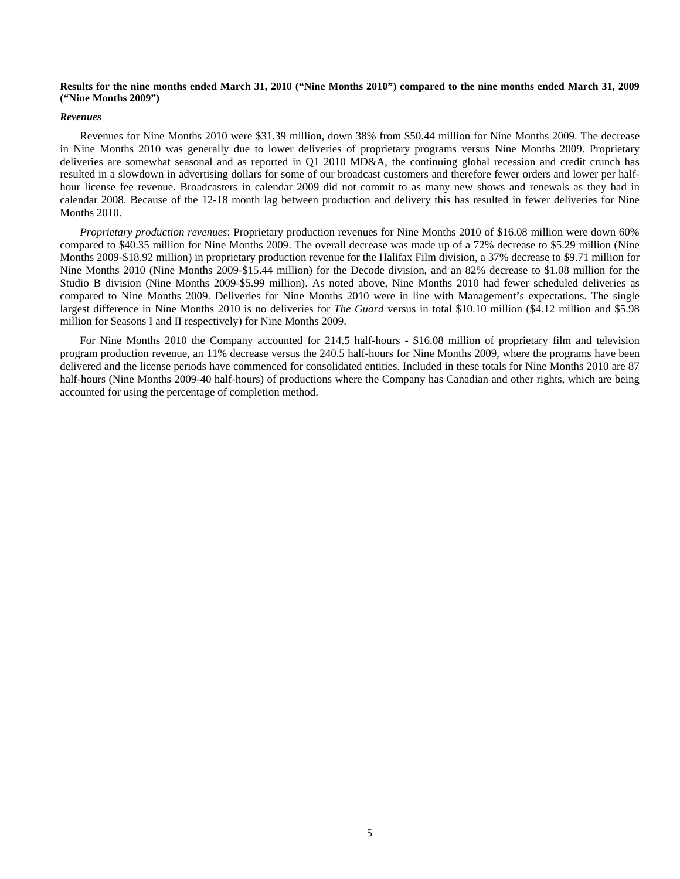#### **Results for the nine months ended March 31, 2010 ("Nine Months 2010") compared to the nine months ended March 31, 2009 ("Nine Months 2009")**

#### *Revenues*

Revenues for Nine Months 2010 were \$31.39 million, down 38% from \$50.44 million for Nine Months 2009. The decrease in Nine Months 2010 was generally due to lower deliveries of proprietary programs versus Nine Months 2009. Proprietary deliveries are somewhat seasonal and as reported in Q1 2010 MD&A, the continuing global recession and credit crunch has resulted in a slowdown in advertising dollars for some of our broadcast customers and therefore fewer orders and lower per halfhour license fee revenue. Broadcasters in calendar 2009 did not commit to as many new shows and renewals as they had in calendar 2008. Because of the 12-18 month lag between production and delivery this has resulted in fewer deliveries for Nine Months 2010.

*Proprietary production revenues*: Proprietary production revenues for Nine Months 2010 of \$16.08 million were down 60% compared to \$40.35 million for Nine Months 2009. The overall decrease was made up of a 72% decrease to \$5.29 million (Nine Months 2009-\$18.92 million) in proprietary production revenue for the Halifax Film division, a 37% decrease to \$9.71 million for Nine Months 2010 (Nine Months 2009-\$15.44 million) for the Decode division, and an 82% decrease to \$1.08 million for the Studio B division (Nine Months 2009-\$5.99 million). As noted above, Nine Months 2010 had fewer scheduled deliveries as compared to Nine Months 2009. Deliveries for Nine Months 2010 were in line with Management's expectations. The single largest difference in Nine Months 2010 is no deliveries for *The Guard* versus in total \$10.10 million (\$4.12 million and \$5.98 million for Seasons I and II respectively) for Nine Months 2009.

For Nine Months 2010 the Company accounted for 214.5 half-hours - \$16.08 million of proprietary film and television program production revenue, an 11% decrease versus the 240.5 half-hours for Nine Months 2009, where the programs have been delivered and the license periods have commenced for consolidated entities. Included in these totals for Nine Months 2010 are 87 half-hours (Nine Months 2009-40 half-hours) of productions where the Company has Canadian and other rights, which are being accounted for using the percentage of completion method.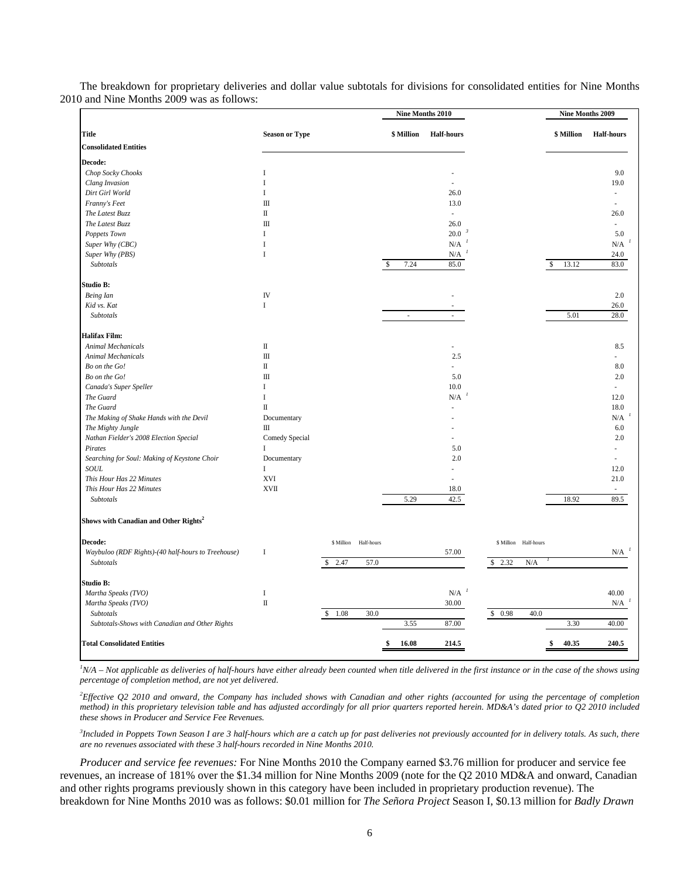|                                                    |                       |                      |            | Nine Months 2010      |                   |                       |      | Nine Months 2009       |                   |
|----------------------------------------------------|-----------------------|----------------------|------------|-----------------------|-------------------|-----------------------|------|------------------------|-------------------|
| <b>Title</b>                                       | <b>Season or Type</b> |                      |            | \$ Million            | <b>Half-hours</b> |                       |      | \$ Million             | <b>Half-hours</b> |
| <b>Consolidated Entities</b>                       |                       |                      |            |                       |                   |                       |      |                        |                   |
| <b>Decode:</b>                                     |                       |                      |            |                       |                   |                       |      |                        |                   |
| Chop Socky Chooks                                  | I                     |                      |            |                       |                   |                       |      |                        | 9.0               |
| Clang Invasion                                     | I                     |                      |            |                       |                   |                       |      |                        | 19.0              |
| Dirt Girl World                                    | $\bf{I}$              |                      |            |                       | 26.0              |                       |      |                        |                   |
| Franny's Feet                                      | Ш                     |                      |            |                       | 13.0              |                       |      |                        |                   |
| The Latest Buzz                                    | $\rm II$              |                      |            |                       | ÷.                |                       |      |                        | 26.0              |
| The Latest Buzz                                    | III                   |                      |            |                       | 26.0              |                       |      |                        | ×,                |
| Poppets Town                                       | $\bf{I}$              |                      |            |                       | 20.0              |                       |      |                        | 5.0               |
| Super Why (CBC)                                    | I                     |                      |            |                       | N/A               |                       |      |                        | N/A               |
| Super Why (PBS)                                    | $\mathbf I$           |                      |            |                       | N/A               |                       |      |                        | 24.0              |
| Subtotals                                          |                       |                      |            | 7.24<br><sup>\$</sup> | 85.0              |                       |      | 13.12<br>$\mathcal{S}$ | 83.0              |
| Studio B:                                          |                       |                      |            |                       |                   |                       |      |                        |                   |
| <b>Being</b> Ian                                   | IV                    |                      |            |                       |                   |                       |      |                        | 2.0               |
| Kid vs. Kat                                        | $\mathbf I$           |                      |            |                       |                   |                       |      |                        | 26.0              |
| Subtotals                                          |                       |                      |            | ÷.                    | ×,                |                       |      | 5.01                   | 28.0              |
| <b>Halifax Film:</b>                               |                       |                      |            |                       |                   |                       |      |                        |                   |
| Animal Mechanicals                                 | $\rm II$              |                      |            |                       |                   |                       |      |                        | 8.5               |
| Animal Mechanicals                                 | $\rm III$             |                      |            |                       | 2.5               |                       |      |                        |                   |
| Bo on the Go!                                      | $\mathbf{I}$          |                      |            |                       |                   |                       |      |                        | 8.0               |
| Bo on the Go!                                      | Ш                     |                      |            |                       | 5.0               |                       |      |                        | 2.0               |
| Canada's Super Speller                             | I                     |                      |            |                       | 10.0              |                       |      |                        |                   |
| The Guard                                          | $\bf{I}$              |                      |            |                       | N/A               |                       |      |                        | 12.0              |
| The Guard                                          | $\rm II$              |                      |            |                       |                   |                       |      |                        | 18.0              |
| The Making of Shake Hands with the Devil           | Documentary           |                      |            |                       |                   |                       |      |                        | N/A               |
| The Mighty Jungle                                  | Ш                     |                      |            |                       |                   |                       |      |                        | 6.0               |
| Nathan Fielder's 2008 Election Special             | Comedy Special        |                      |            |                       |                   |                       |      |                        | 2.0               |
| Pirates                                            | I                     |                      |            |                       | 5.0               |                       |      |                        |                   |
| Searching for Soul: Making of Keystone Choir       | Documentary           |                      |            |                       | 2.0               |                       |      |                        |                   |
| SOUL                                               | $\bf I$               |                      |            |                       |                   |                       |      |                        | 12.0              |
| This Hour Has 22 Minutes                           | XVI                   |                      |            |                       |                   |                       |      |                        | 21.0              |
| This Hour Has 22 Minutes                           | <b>XVII</b>           |                      |            |                       | 18.0              |                       |      |                        |                   |
| Subtotals                                          |                       |                      |            | 5.29                  | 42.5              |                       |      | 18.92                  | 89.5              |
| Shows with Canadian and Other Rights <sup>2</sup>  |                       |                      |            |                       |                   |                       |      |                        |                   |
| Decode:                                            |                       | \$ Million           | Half-hours |                       |                   | \$ Million Half-hours |      |                        |                   |
| Waybuloo (RDF Rights)-(40 half-hours to Treehouse) | Ι                     |                      |            |                       | 57.00             |                       |      |                        | N/A               |
| Subtotals                                          |                       | \$ 2.47              | 57.0       |                       |                   | \$2.32                | N/A  |                        |                   |
| Studio B:                                          |                       |                      |            |                       |                   |                       |      |                        |                   |
| Martha Speaks (TVO)                                | $\bf{I}$              |                      |            |                       | N/A               |                       |      |                        | 40.00             |
| Martha Speaks (TVO)                                | $\rm II$              |                      |            |                       | 30.00             |                       |      |                        | N/A               |
| Subtotals                                          |                       | 1.08<br>$\mathbb{S}$ | 30.0       |                       |                   | \$0.98                | 40.0 |                        |                   |
| Subtotals-Shows with Canadian and Other Rights     |                       |                      |            | 3.55                  | 87.00             |                       |      | 3.30                   | 40.00             |
| <b>Total Consolidated Entities</b>                 |                       |                      |            | 16.08                 | 214.5             |                       |      | 40.35                  | 240.5             |

The breakdown for proprietary deliveries and dollar value subtotals for divisions for consolidated entities for Nine Months 2010 and Nine Months 2009 was as follows:

<sup>*I</sup>N/A – Not applicable as deliveries of half-hours have either already been counted when title delivered in the first instance or in the case of the shows using</sup> percentage of completion method, are not yet delivered*.

*2 Effective Q2 2010 and onward, the Company has included shows with Canadian and other rights (accounted for using the percentage of completion method) in this proprietary television table and has adjusted accordingly for all prior quarters reported herein. MD&A's dated prior to Q2 2010 included these shows in Producer and Service Fee Revenues.* 

*3 Included in Poppets Town Season I are 3 half-hours which are a catch up for past deliveries not previously accounted for in delivery totals. As such, there are no revenues associated with these 3 half-hours recorded in Nine Months 2010.* 

*Producer and service fee revenues:* For Nine Months 2010 the Company earned \$3.76 million for producer and service fee revenues, an increase of 181% over the \$1.34 million for Nine Months 2009 (note for the Q2 2010 MD&A and onward, Canadian and other rights programs previously shown in this category have been included in proprietary production revenue). The breakdown for Nine Months 2010 was as follows: \$0.01 million for *The Señora Project* Season I, \$0.13 million for *Badly Drawn*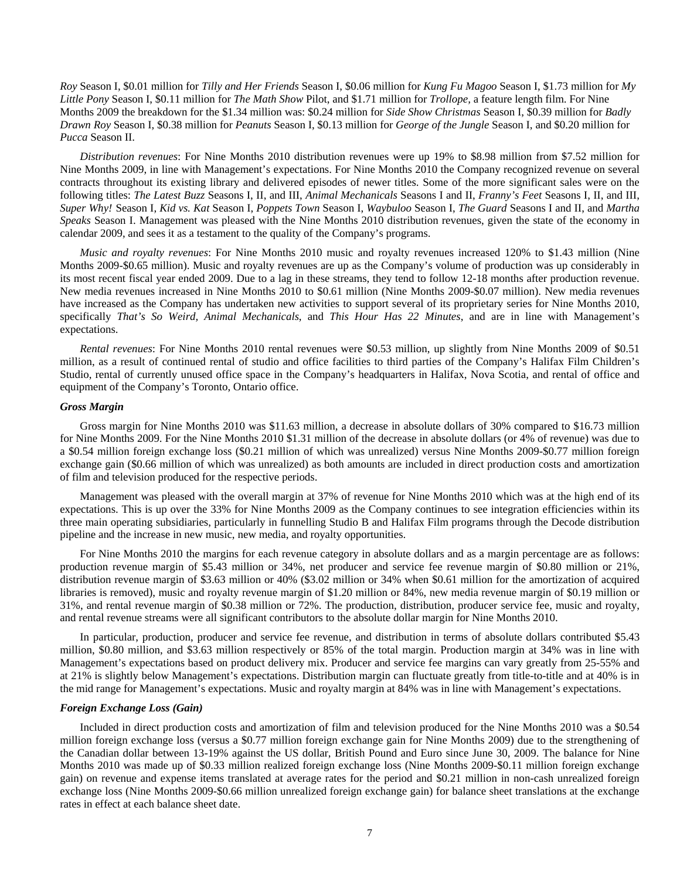*Roy* Season I, \$0.01 million for *Tilly and Her Friends* Season I, \$0.06 million for *Kung Fu Magoo* Season I, \$1.73 million for *My Little Pony* Season I, \$0.11 million for *The Math Show* Pilot, and \$1.71 million for *Trollope,* a feature length film. For Nine Months 2009 the breakdown for the \$1.34 million was: \$0.24 million for *Side Show Christmas* Season I, \$0.39 million for *Badly Drawn Roy* Season I, \$0.38 million for *Peanuts* Season I, \$0.13 million for *George of the Jungle* Season I, and \$0.20 million for *Pucca* Season II.

*Distribution revenues*: For Nine Months 2010 distribution revenues were up 19% to \$8.98 million from \$7.52 million for Nine Months 2009, in line with Management's expectations. For Nine Months 2010 the Company recognized revenue on several contracts throughout its existing library and delivered episodes of newer titles. Some of the more significant sales were on the following titles: *The Latest Buzz* Seasons I, II, and III, *Animal Mechanicals* Seasons I and II, *Franny's Feet* Seasons I, II, and III, *Super Why!* Season I, *Kid vs. Kat* Season I, *Poppets Town* Season I, *Waybuloo* Season I, *The Guard* Seasons I and II, and *Martha Speaks* Season I. Management was pleased with the Nine Months 2010 distribution revenues, given the state of the economy in calendar 2009, and sees it as a testament to the quality of the Company's programs.

*Music and royalty revenues*: For Nine Months 2010 music and royalty revenues increased 120% to \$1.43 million (Nine Months 2009-\$0.65 million). Music and royalty revenues are up as the Company's volume of production was up considerably in its most recent fiscal year ended 2009. Due to a lag in these streams, they tend to follow 12-18 months after production revenue. New media revenues increased in Nine Months 2010 to \$0.61 million (Nine Months 2009-\$0.07 million). New media revenues have increased as the Company has undertaken new activities to support several of its proprietary series for Nine Months 2010, specifically *That's So Weird, Animal Mechanicals*, and *This Hour Has 22 Minutes*, and are in line with Management's expectations.

*Rental revenues*: For Nine Months 2010 rental revenues were \$0.53 million, up slightly from Nine Months 2009 of \$0.51 million, as a result of continued rental of studio and office facilities to third parties of the Company's Halifax Film Children's Studio, rental of currently unused office space in the Company's headquarters in Halifax, Nova Scotia, and rental of office and equipment of the Company's Toronto, Ontario office.

#### *Gross Margin*

Gross margin for Nine Months 2010 was \$11.63 million, a decrease in absolute dollars of 30% compared to \$16.73 million for Nine Months 2009. For the Nine Months 2010 \$1.31 million of the decrease in absolute dollars (or 4% of revenue) was due to a \$0.54 million foreign exchange loss (\$0.21 million of which was unrealized) versus Nine Months 2009-\$0.77 million foreign exchange gain (\$0.66 million of which was unrealized) as both amounts are included in direct production costs and amortization of film and television produced for the respective periods.

Management was pleased with the overall margin at 37% of revenue for Nine Months 2010 which was at the high end of its expectations. This is up over the 33% for Nine Months 2009 as the Company continues to see integration efficiencies within its three main operating subsidiaries, particularly in funnelling Studio B and Halifax Film programs through the Decode distribution pipeline and the increase in new music, new media, and royalty opportunities.

For Nine Months 2010 the margins for each revenue category in absolute dollars and as a margin percentage are as follows: production revenue margin of \$5.43 million or 34%, net producer and service fee revenue margin of \$0.80 million or 21%, distribution revenue margin of \$3.63 million or 40% (\$3.02 million or 34% when \$0.61 million for the amortization of acquired libraries is removed), music and royalty revenue margin of \$1.20 million or 84%, new media revenue margin of \$0.19 million or 31%, and rental revenue margin of \$0.38 million or 72%. The production, distribution, producer service fee, music and royalty, and rental revenue streams were all significant contributors to the absolute dollar margin for Nine Months 2010.

In particular, production, producer and service fee revenue, and distribution in terms of absolute dollars contributed \$5.43 million, \$0.80 million, and \$3.63 million respectively or 85% of the total margin. Production margin at 34% was in line with Management's expectations based on product delivery mix. Producer and service fee margins can vary greatly from 25-55% and at 21% is slightly below Management's expectations. Distribution margin can fluctuate greatly from title-to-title and at 40% is in the mid range for Management's expectations. Music and royalty margin at 84% was in line with Management's expectations.

#### *Foreign Exchange Loss (Gain)*

Included in direct production costs and amortization of film and television produced for the Nine Months 2010 was a \$0.54 million foreign exchange loss (versus a \$0.77 million foreign exchange gain for Nine Months 2009) due to the strengthening of the Canadian dollar between 13-19% against the US dollar, British Pound and Euro since June 30, 2009. The balance for Nine Months 2010 was made up of \$0.33 million realized foreign exchange loss (Nine Months 2009-\$0.11 million foreign exchange gain) on revenue and expense items translated at average rates for the period and \$0.21 million in non-cash unrealized foreign exchange loss (Nine Months 2009-\$0.66 million unrealized foreign exchange gain) for balance sheet translations at the exchange rates in effect at each balance sheet date.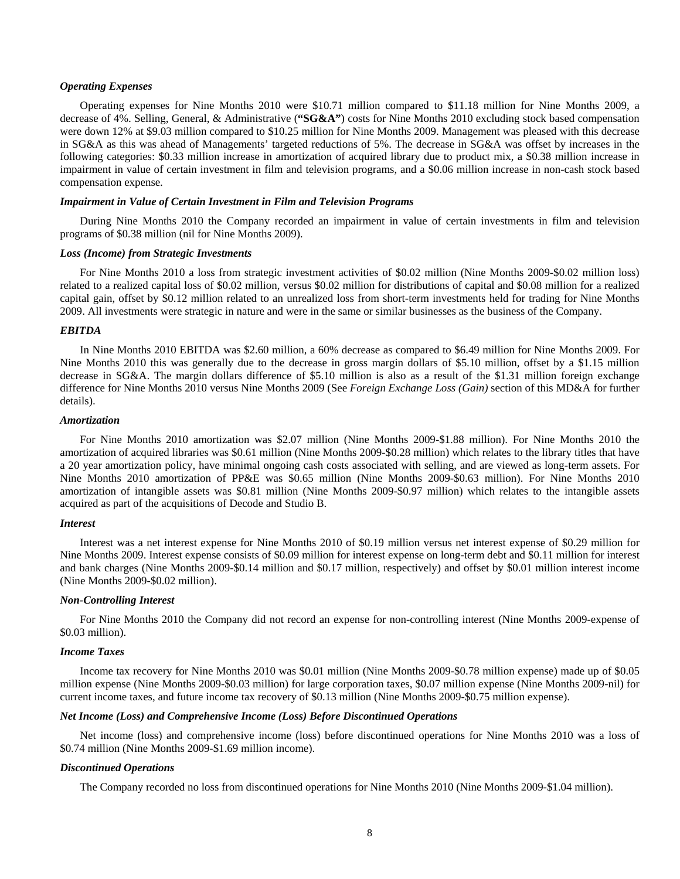#### *Operating Expenses*

Operating expenses for Nine Months 2010 were \$10.71 million compared to \$11.18 million for Nine Months 2009, a decrease of 4%. Selling, General, & Administrative (**"SG&A"**) costs for Nine Months 2010 excluding stock based compensation were down 12% at \$9.03 million compared to \$10.25 million for Nine Months 2009. Management was pleased with this decrease in SG&A as this was ahead of Managements' targeted reductions of 5%. The decrease in SG&A was offset by increases in the following categories: \$0.33 million increase in amortization of acquired library due to product mix, a \$0.38 million increase in impairment in value of certain investment in film and television programs, and a \$0.06 million increase in non-cash stock based compensation expense.

#### *Impairment in Value of Certain Investment in Film and Television Programs*

During Nine Months 2010 the Company recorded an impairment in value of certain investments in film and television programs of \$0.38 million (nil for Nine Months 2009).

#### *Loss (Income) from Strategic Investments*

For Nine Months 2010 a loss from strategic investment activities of \$0.02 million (Nine Months 2009-\$0.02 million loss) related to a realized capital loss of \$0.02 million, versus \$0.02 million for distributions of capital and \$0.08 million for a realized capital gain, offset by \$0.12 million related to an unrealized loss from short-term investments held for trading for Nine Months 2009. All investments were strategic in nature and were in the same or similar businesses as the business of the Company.

#### *EBITDA*

In Nine Months 2010 EBITDA was \$2.60 million, a 60% decrease as compared to \$6.49 million for Nine Months 2009. For Nine Months 2010 this was generally due to the decrease in gross margin dollars of \$5.10 million, offset by a \$1.15 million decrease in SG&A. The margin dollars difference of \$5.10 million is also as a result of the \$1.31 million foreign exchange difference for Nine Months 2010 versus Nine Months 2009 (See *Foreign Exchange Loss (Gain)* section of this MD&A for further details).

#### *Amortization*

For Nine Months 2010 amortization was \$2.07 million (Nine Months 2009-\$1.88 million). For Nine Months 2010 the amortization of acquired libraries was \$0.61 million (Nine Months 2009-\$0.28 million) which relates to the library titles that have a 20 year amortization policy, have minimal ongoing cash costs associated with selling, and are viewed as long-term assets. For Nine Months 2010 amortization of PP&E was \$0.65 million (Nine Months 2009-\$0.63 million). For Nine Months 2010 amortization of intangible assets was \$0.81 million (Nine Months 2009-\$0.97 million) which relates to the intangible assets acquired as part of the acquisitions of Decode and Studio B.

#### *Interest*

Interest was a net interest expense for Nine Months 2010 of \$0.19 million versus net interest expense of \$0.29 million for Nine Months 2009. Interest expense consists of \$0.09 million for interest expense on long-term debt and \$0.11 million for interest and bank charges (Nine Months 2009-\$0.14 million and \$0.17 million, respectively) and offset by \$0.01 million interest income (Nine Months 2009-\$0.02 million).

#### *Non-Controlling Interest*

For Nine Months 2010 the Company did not record an expense for non-controlling interest (Nine Months 2009-expense of \$0.03 million).

#### *Income Taxes*

Income tax recovery for Nine Months 2010 was \$0.01 million (Nine Months 2009-\$0.78 million expense) made up of \$0.05 million expense (Nine Months 2009-\$0.03 million) for large corporation taxes, \$0.07 million expense (Nine Months 2009-nil) for current income taxes, and future income tax recovery of \$0.13 million (Nine Months 2009-\$0.75 million expense).

#### *Net Income (Loss) and Comprehensive Income (Loss) Before Discontinued Operations*

Net income (loss) and comprehensive income (loss) before discontinued operations for Nine Months 2010 was a loss of \$0.74 million (Nine Months 2009-\$1.69 million income).

#### *Discontinued Operations*

The Company recorded no loss from discontinued operations for Nine Months 2010 (Nine Months 2009-\$1.04 million).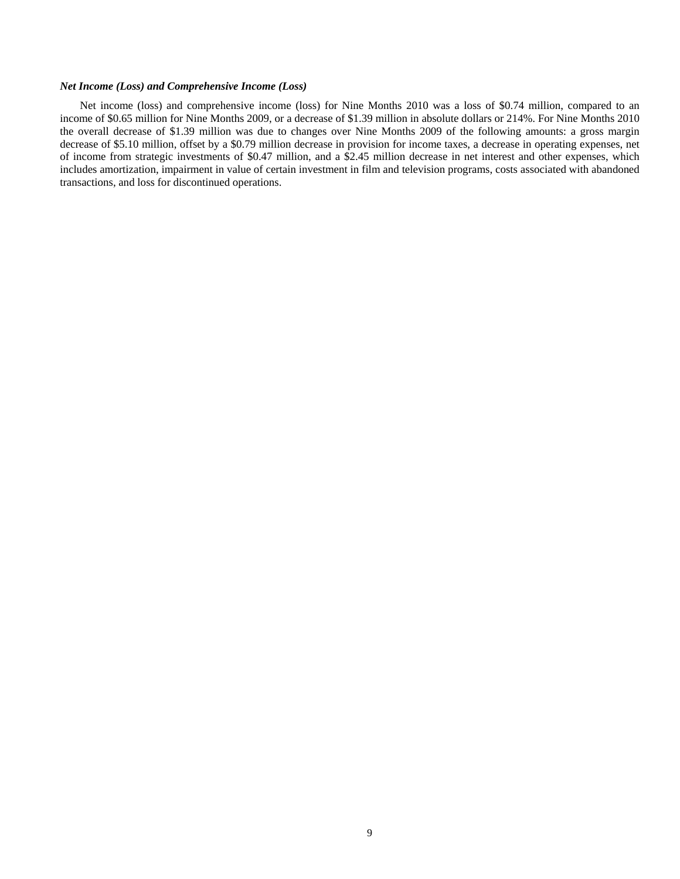#### *Net Income (Loss) and Comprehensive Income (Loss)*

Net income (loss) and comprehensive income (loss) for Nine Months 2010 was a loss of \$0.74 million, compared to an income of \$0.65 million for Nine Months 2009, or a decrease of \$1.39 million in absolute dollars or 214%. For Nine Months 2010 the overall decrease of \$1.39 million was due to changes over Nine Months 2009 of the following amounts: a gross margin decrease of \$5.10 million, offset by a \$0.79 million decrease in provision for income taxes, a decrease in operating expenses, net of income from strategic investments of \$0.47 million, and a \$2.45 million decrease in net interest and other expenses, which includes amortization, impairment in value of certain investment in film and television programs, costs associated with abandoned transactions, and loss for discontinued operations.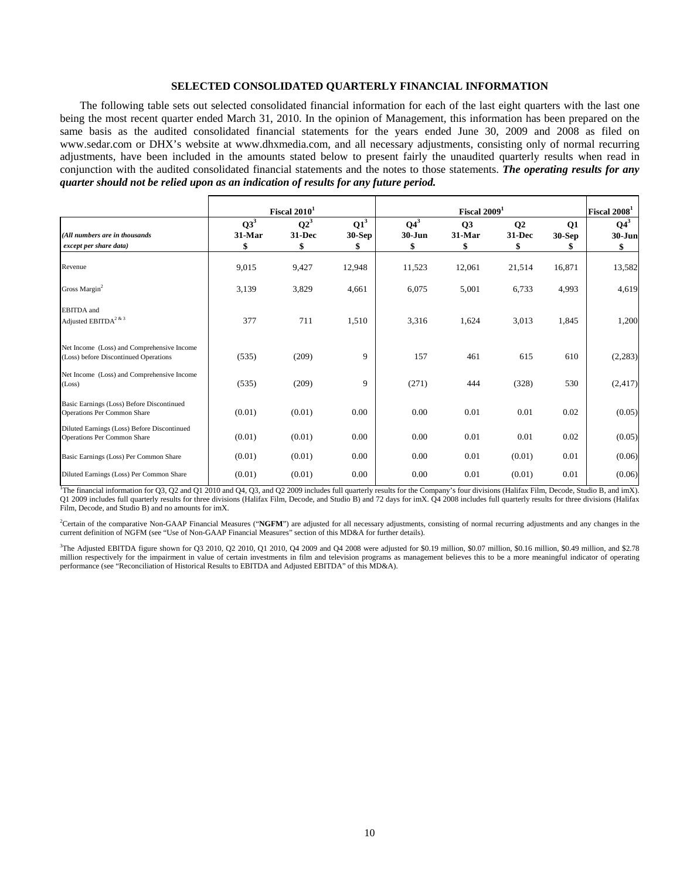#### **SELECTED CONSOLIDATED QUARTERLY FINANCIAL INFORMATION**

The following table sets out selected consolidated financial information for each of the last eight quarters with the last one being the most recent quarter ended March 31, 2010. In the opinion of Management, this information has been prepared on the same basis as the audited consolidated financial statements for the years ended June 30, 2009 and 2008 as filed on www.sedar.com or DHX's website at www.dhxmedia.com, and all necessary adjustments, consisting only of normal recurring adjustments, have been included in the amounts stated below to present fairly the unaudited quarterly results when read in conjunction with the audited consolidated financial statements and the notes to those statements. *The operating results for any quarter should not be relied upon as an indication of results for any future period.* 

|                                                                                     |                           | Fiscal $20101$         |                               |                            | Fiscal 2009 <sup>1</sup>       |                                |                            | Fiscal $20081$             |
|-------------------------------------------------------------------------------------|---------------------------|------------------------|-------------------------------|----------------------------|--------------------------------|--------------------------------|----------------------------|----------------------------|
| (All numbers are in thousands<br>except per share data)                             | $Q3^3$<br>$31$ -Mar<br>\$ | $Q2^3$<br>31-Dec<br>\$ | $Q1^3$<br><b>30-Sep</b><br>\$ | $Q4^3$<br>$30 - Jun$<br>\$ | Q <sub>3</sub><br>31-Mar<br>\$ | Q <sub>2</sub><br>31-Dec<br>\$ | $\mathbf{Q}$ 1<br>$30-Sep$ | $Q4^3$<br>$30 - Jun$<br>\$ |
| Revenue                                                                             | 9,015                     | 9,427                  | 12,948                        | 11,523                     | 12,061                         | 21,514                         | 16,871                     | 13,582                     |
| Gross Margin <sup>2</sup>                                                           | 3,139                     | 3,829                  | 4,661                         | 6,075                      | 5,001                          | 6,733                          | 4,993                      | 4,619                      |
| <b>EBITDA</b> and<br>Adjusted $EBITDA2$ & 3                                         | 377                       | 711                    | 1,510                         | 3,316                      | 1,624                          | 3,013                          | 1,845                      | 1,200                      |
| Net Income (Loss) and Comprehensive Income<br>(Loss) before Discontinued Operations | (535)                     | (209)                  | 9                             | 157                        | 461                            | 615                            | 610                        | (2,283)                    |
| Net Income (Loss) and Comprehensive Income<br>(Loss)                                | (535)                     | (209)                  | 9                             | (271)                      | 444                            | (328)                          | 530                        | (2, 417)                   |
| Basic Earnings (Loss) Before Discontinued<br>Operations Per Common Share            | (0.01)                    | (0.01)                 | 0.00                          | 0.00                       | 0.01                           | 0.01                           | 0.02                       | (0.05)                     |
| Diluted Earnings (Loss) Before Discontinued<br>Operations Per Common Share          | (0.01)                    | (0.01)                 | 0.00                          | 0.00                       | 0.01                           | 0.01                           | 0.02                       | (0.05)                     |
| Basic Earnings (Loss) Per Common Share                                              | (0.01)                    | (0.01)                 | 0.00                          | 0.00                       | 0.01                           | (0.01)                         | 0.01                       | (0.06)                     |
| Diluted Earnings (Loss) Per Common Share                                            | (0.01)                    | (0.01)                 | 0.00                          | 0.00                       | 0.01                           | (0.01)                         | 0.01                       | (0.06)                     |

<sup>1</sup>The financial information for Q3, Q2 and Q1 2010 and Q4, Q3, and Q2 2009 includes full quarterly results for the Company's four divisions (Halifax Film, Decode, Studio B, and imX). Q1 2009 includes full quarterly results for three divisions (Halifax Film, Decode, and Studio B) and 72 days for imX. Q4 2008 includes full quarterly results for three divisions (Halifax Film, Decode, and Studio B) and no amounts for imX.

<sup>2</sup>Certain of the comparative Non-GAAP Financial Measures ("NGFM") are adjusted for all necessary adjustments, consisting of normal recurring adjustments and any changes in the current definition of NGFM (see "Use of Non-GAAP Financial Measures" section of this MD&A for further details).

<sup>3</sup>The Adjusted EBITDA figure shown for Q3 2010, Q2 2010, Q1 2010, Q4 2009 and Q4 2008 were adjusted for \$0.19 million, \$0.07 million, \$0.16 million, \$0.49 million, and \$2.78 million respectively for the impairment in value of certain investments in film and television programs as management believes this to be a more meaningful indicator of operating performance (see "Reconciliation of Historical Results to EBITDA and Adjusted EBITDA" of this MD&A).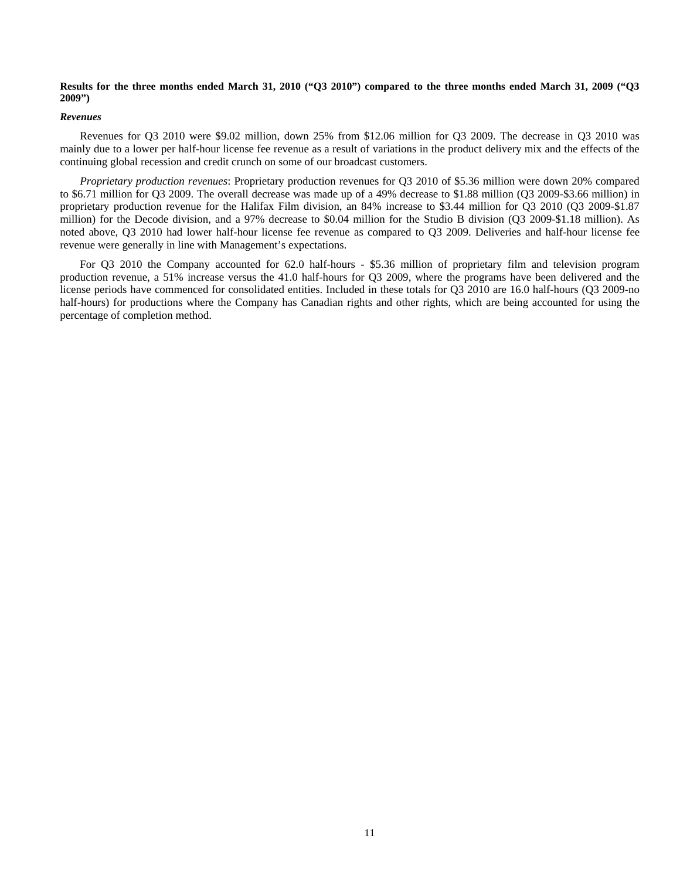#### **Results for the three months ended March 31, 2010 ("Q3 2010") compared to the three months ended March 31, 2009 ("Q3 2009")**

#### *Revenues*

Revenues for Q3 2010 were \$9.02 million, down 25% from \$12.06 million for Q3 2009. The decrease in Q3 2010 was mainly due to a lower per half-hour license fee revenue as a result of variations in the product delivery mix and the effects of the continuing global recession and credit crunch on some of our broadcast customers.

*Proprietary production revenues*: Proprietary production revenues for Q3 2010 of \$5.36 million were down 20% compared to \$6.71 million for Q3 2009. The overall decrease was made up of a 49% decrease to \$1.88 million (Q3 2009-\$3.66 million) in proprietary production revenue for the Halifax Film division, an 84% increase to \$3.44 million for Q3 2010 (Q3 2009-\$1.87 million) for the Decode division, and a 97% decrease to \$0.04 million for the Studio B division (Q3 2009-\$1.18 million). As noted above, Q3 2010 had lower half-hour license fee revenue as compared to Q3 2009. Deliveries and half-hour license fee revenue were generally in line with Management's expectations.

For Q3 2010 the Company accounted for 62.0 half-hours - \$5.36 million of proprietary film and television program production revenue, a 51% increase versus the 41.0 half-hours for Q3 2009, where the programs have been delivered and the license periods have commenced for consolidated entities. Included in these totals for Q3 2010 are 16.0 half-hours (Q3 2009-no half-hours) for productions where the Company has Canadian rights and other rights, which are being accounted for using the percentage of completion method.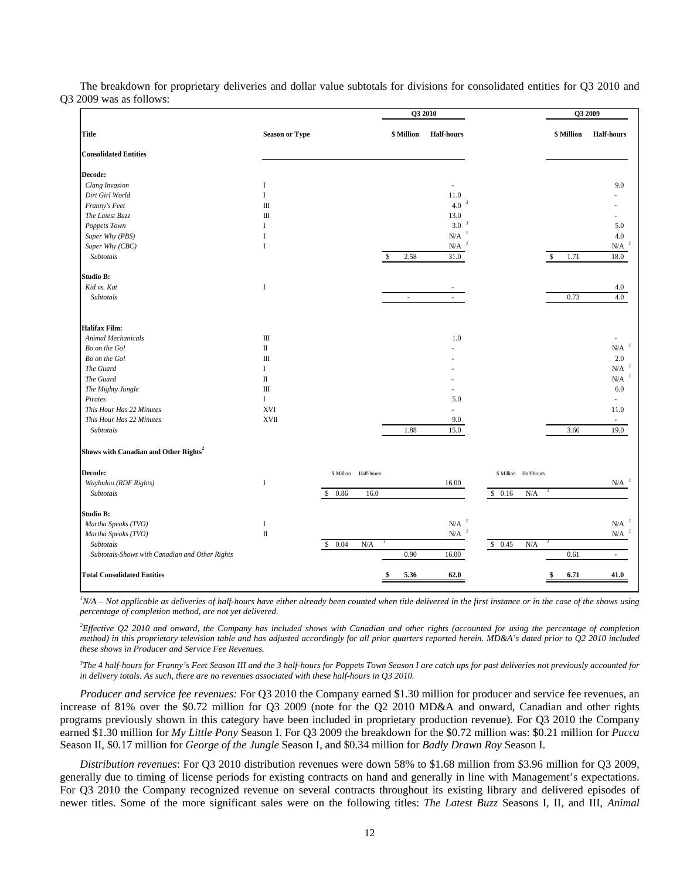The breakdown for proprietary deliveries and dollar value subtotals for divisions for consolidated entities for Q3 2010 and Q3 2009 was as follows:

|                                                   |                       |                          | Q3 2010             |                   |        |                       | Q3 2009               |                                 |
|---------------------------------------------------|-----------------------|--------------------------|---------------------|-------------------|--------|-----------------------|-----------------------|---------------------------------|
| <b>Title</b>                                      | <b>Season or Type</b> |                          | \$ Million          | <b>Half-hours</b> |        |                       | \$ Million            | <b>Half-hours</b>               |
| <b>Consolidated Entities</b>                      |                       |                          |                     |                   |        |                       |                       |                                 |
| Decode:                                           |                       |                          |                     |                   |        |                       |                       |                                 |
| Clang Invasion                                    | $\bf I$               |                          |                     | ×.                |        |                       |                       | 9.0                             |
| Dirt Girl World                                   | $\mathbf I$           |                          |                     | 11.0              |        |                       |                       |                                 |
| Franny's Feet                                     | $\rm III$             |                          |                     | 4.0 $3$           |        |                       |                       |                                 |
| The Latest Buzz                                   | $\rm III$             |                          |                     | 13.0              |        |                       |                       |                                 |
| Poppets Town                                      | $\mathbf I$           |                          |                     | 3.0 <sup>3</sup>  |        |                       |                       | 5.0                             |
| Super Why (PBS)                                   | $\mathbf I$           |                          |                     | N/A               |        |                       |                       | 4.0                             |
| Super Why (CBC)<br>Subtotals                      | $\mathbf I$           |                          | 2.58<br>$\mathbf S$ | N/A<br>31.0       |        |                       | 1.71<br>$\mathcal{S}$ | N/A<br>18.0                     |
| Studio B:                                         |                       |                          |                     |                   |        |                       |                       |                                 |
| Kid vs. Kat                                       | $\bf{I}$              |                          |                     |                   |        |                       |                       | 4.0                             |
| Subtotals                                         |                       |                          | $\sim$              |                   |        |                       | 0.73                  | 4.0                             |
| <b>Halifax Film:</b>                              |                       |                          |                     |                   |        |                       |                       |                                 |
| Animal Mechanicals                                | Ш                     |                          |                     | 1.0               |        |                       |                       |                                 |
| Bo on the Go!                                     | $\rm II$              |                          |                     |                   |        |                       |                       | $\mathcal{I}$<br>N/A            |
| Bo on the Go!                                     | Ш                     |                          |                     |                   |        |                       |                       | 2.0                             |
| The Guard                                         | $\bf{I}$              |                          |                     |                   |        |                       |                       | $N/A$ <sup><math>I</math></sup> |
| The Guard                                         | $\rm II$              |                          |                     |                   |        |                       |                       | N/A                             |
| The Mighty Jungle                                 | $\rm III$             |                          |                     |                   |        |                       |                       | 6.0                             |
| Pirates                                           | $\mathbf{I}$          |                          |                     | 5.0               |        |                       |                       | ×,                              |
| This Hour Has 22 Minutes                          | XVI                   |                          |                     |                   |        |                       |                       | 11.0                            |
| This Hour Has 22 Minutes<br>Subtotals             | XVII                  |                          | 1.88                | 9.0<br>15.0       |        |                       | 3.66                  | ٠<br>19.0                       |
| Shows with Canadian and Other Rights <sup>2</sup> |                       |                          |                     |                   |        |                       |                       |                                 |
| Decode:                                           |                       | \$ Million<br>Half-hours |                     |                   |        | \$ Million Half-hours |                       |                                 |
| Waybuloo (RDF Rights)                             | $\rm I$               |                          |                     | 16.00             |        |                       |                       | N/A                             |
| Subtotals                                         |                       | \$<br>0.86<br>16.0       |                     |                   | \$0.16 | N/A                   |                       |                                 |
| Studio B:                                         |                       |                          |                     |                   |        |                       |                       |                                 |
| Martha Speaks (TVO)                               | $\rm I$               |                          |                     | N/A               |        |                       |                       | $N/A$ <sup><math>1</math></sup> |
| Martha Speaks (TVO)                               | $\rm II$              |                          |                     | $\rm N/A$         |        |                       |                       | N/A                             |
| Subtotals                                         |                       | \$0.04<br>N/A            |                     |                   | \$0.45 | N/A                   |                       |                                 |
| Subtotals-Shows with Canadian and Other Rights    |                       |                          | 0.90                | 16.00             |        |                       | 0.61                  | $\omega$                        |
| <b>Total Consolidated Entities</b>                |                       |                          | 5.36<br>\$          | 62.0              |        |                       | 6.71<br>\$            | 41.0                            |

<sup>*I</sup>N/A – Not applicable as deliveries of half-hours have either already been counted when title delivered in the first instance or in the case of the shows using</sup> percentage of completion method, are not yet delivered*.

*2 Effective Q2 2010 and onward, the Company has included shows with Canadian and other rights (accounted for using the percentage of completion method) in this proprietary television table and has adjusted accordingly for all prior quarters reported herein. MD&A's dated prior to Q2 2010 included these shows in Producer and Service Fee Revenues.* 

*3 The 4 half-hours for Franny's Feet Season III and the 3 half-hours for Poppets Town Season I are catch ups for past deliveries not previously accounted for*  in delivery totals. As such, there are no revenues associated with these half-hours in Q3 2010.

*Producer and service fee revenues:* For Q3 2010 the Company earned \$1.30 million for producer and service fee revenues, an increase of 81% over the \$0.72 million for Q3 2009 (note for the Q2 2010 MD&A and onward, Canadian and other rights programs previously shown in this category have been included in proprietary production revenue). For Q3 2010 the Company earned \$1.30 million for *My Little Pony* Season I. For Q3 2009 the breakdown for the \$0.72 million was: \$0.21 million for *Pucca*  Season II, \$0.17 million for *George of the Jungle* Season I, and \$0.34 million for *Badly Drawn Roy* Season I.

*Distribution revenues*: For Q3 2010 distribution revenues were down 58% to \$1.68 million from \$3.96 million for Q3 2009, generally due to timing of license periods for existing contracts on hand and generally in line with Management's expectations. For Q3 2010 the Company recognized revenue on several contracts throughout its existing library and delivered episodes of newer titles. Some of the more significant sales were on the following titles: *The Latest Buzz* Seasons I, II, and III, *Animal*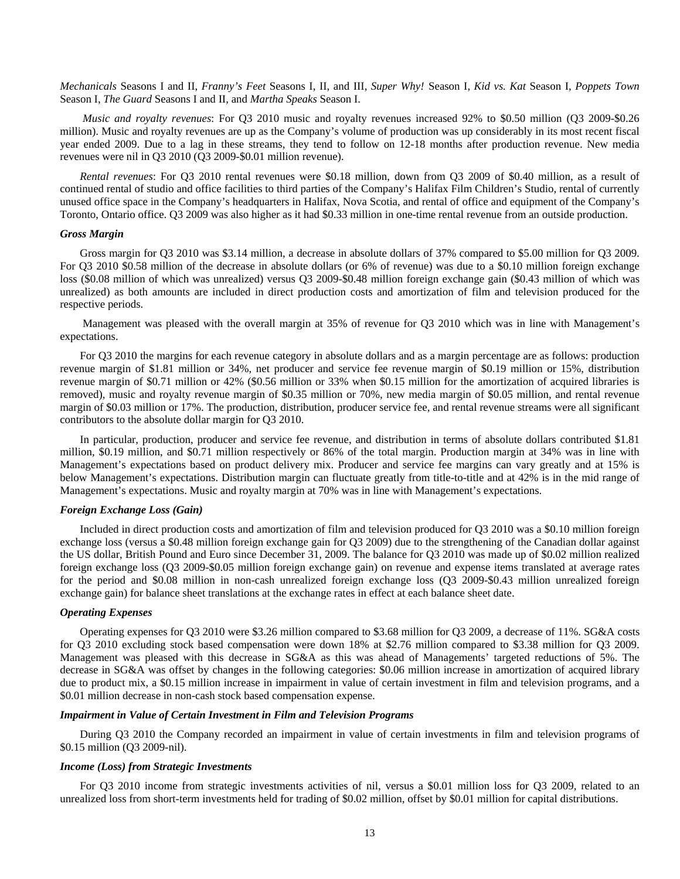*Mechanicals* Seasons I and II, *Franny's Feet* Seasons I, II, and III, *Super Why!* Season I, *Kid vs. Kat* Season I, *Poppets Town* Season I, *The Guard* Seasons I and II, and *Martha Speaks* Season I.

*Music and royalty revenues*: For Q3 2010 music and royalty revenues increased 92% to \$0.50 million (Q3 2009-\$0.26 million). Music and royalty revenues are up as the Company's volume of production was up considerably in its most recent fiscal year ended 2009. Due to a lag in these streams, they tend to follow on 12-18 months after production revenue. New media revenues were nil in Q3 2010 (Q3 2009-\$0.01 million revenue).

*Rental revenues*: For Q3 2010 rental revenues were \$0.18 million, down from Q3 2009 of \$0.40 million, as a result of continued rental of studio and office facilities to third parties of the Company's Halifax Film Children's Studio, rental of currently unused office space in the Company's headquarters in Halifax, Nova Scotia, and rental of office and equipment of the Company's Toronto, Ontario office. Q3 2009 was also higher as it had \$0.33 million in one-time rental revenue from an outside production.

#### *Gross Margin*

Gross margin for Q3 2010 was \$3.14 million, a decrease in absolute dollars of 37% compared to \$5.00 million for Q3 2009. For Q3 2010 \$0.58 million of the decrease in absolute dollars (or 6% of revenue) was due to a \$0.10 million foreign exchange loss (\$0.08 million of which was unrealized) versus Q3 2009-\$0.48 million foreign exchange gain (\$0.43 million of which was unrealized) as both amounts are included in direct production costs and amortization of film and television produced for the respective periods.

 Management was pleased with the overall margin at 35% of revenue for Q3 2010 which was in line with Management's expectations.

For Q3 2010 the margins for each revenue category in absolute dollars and as a margin percentage are as follows: production revenue margin of \$1.81 million or 34%, net producer and service fee revenue margin of \$0.19 million or 15%, distribution revenue margin of \$0.71 million or 42% (\$0.56 million or 33% when \$0.15 million for the amortization of acquired libraries is removed), music and royalty revenue margin of \$0.35 million or 70%, new media margin of \$0.05 million, and rental revenue margin of \$0.03 million or 17%. The production, distribution, producer service fee, and rental revenue streams were all significant contributors to the absolute dollar margin for Q3 2010.

In particular, production, producer and service fee revenue, and distribution in terms of absolute dollars contributed \$1.81 million, \$0.19 million, and \$0.71 million respectively or 86% of the total margin. Production margin at 34% was in line with Management's expectations based on product delivery mix. Producer and service fee margins can vary greatly and at 15% is below Management's expectations. Distribution margin can fluctuate greatly from title-to-title and at 42% is in the mid range of Management's expectations. Music and royalty margin at 70% was in line with Management's expectations.

#### *Foreign Exchange Loss (Gain)*

Included in direct production costs and amortization of film and television produced for Q3 2010 was a \$0.10 million foreign exchange loss (versus a \$0.48 million foreign exchange gain for Q3 2009) due to the strengthening of the Canadian dollar against the US dollar, British Pound and Euro since December 31, 2009. The balance for Q3 2010 was made up of \$0.02 million realized foreign exchange loss (Q3 2009-\$0.05 million foreign exchange gain) on revenue and expense items translated at average rates for the period and \$0.08 million in non-cash unrealized foreign exchange loss (Q3 2009-\$0.43 million unrealized foreign exchange gain) for balance sheet translations at the exchange rates in effect at each balance sheet date.

#### *Operating Expenses*

Operating expenses for Q3 2010 were \$3.26 million compared to \$3.68 million for Q3 2009, a decrease of 11%. SG&A costs for Q3 2010 excluding stock based compensation were down 18% at \$2.76 million compared to \$3.38 million for Q3 2009. Management was pleased with this decrease in SG&A as this was ahead of Managements' targeted reductions of 5%. The decrease in SG&A was offset by changes in the following categories: \$0.06 million increase in amortization of acquired library due to product mix, a \$0.15 million increase in impairment in value of certain investment in film and television programs, and a \$0.01 million decrease in non-cash stock based compensation expense.

#### *Impairment in Value of Certain Investment in Film and Television Programs*

During Q3 2010 the Company recorded an impairment in value of certain investments in film and television programs of \$0.15 million (Q3 2009-nil).

#### *Income (Loss) from Strategic Investments*

For Q3 2010 income from strategic investments activities of nil, versus a \$0.01 million loss for Q3 2009, related to an unrealized loss from short-term investments held for trading of \$0.02 million, offset by \$0.01 million for capital distributions.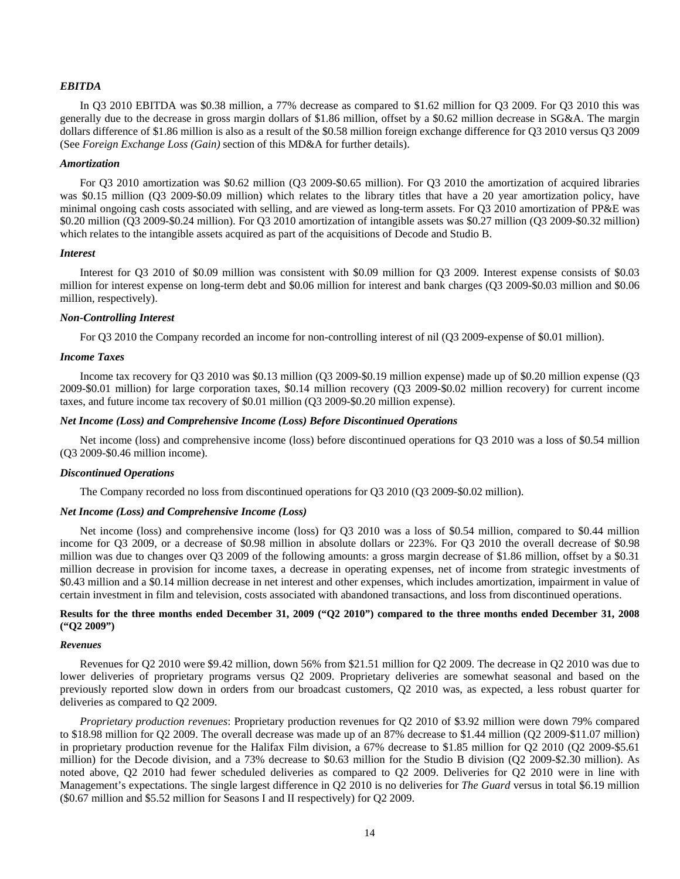#### *EBITDA*

In Q3 2010 EBITDA was \$0.38 million, a 77% decrease as compared to \$1.62 million for Q3 2009. For Q3 2010 this was generally due to the decrease in gross margin dollars of \$1.86 million, offset by a \$0.62 million decrease in SG&A. The margin dollars difference of \$1.86 million is also as a result of the \$0.58 million foreign exchange difference for Q3 2010 versus Q3 2009 (See *Foreign Exchange Loss (Gain)* section of this MD&A for further details).

#### *Amortization*

For Q3 2010 amortization was \$0.62 million (Q3 2009-\$0.65 million). For Q3 2010 the amortization of acquired libraries was \$0.15 million (Q3 2009-\$0.09 million) which relates to the library titles that have a 20 year amortization policy, have minimal ongoing cash costs associated with selling, and are viewed as long-term assets. For Q3 2010 amortization of PP&E was \$0.20 million (Q3 2009-\$0.24 million). For Q3 2010 amortization of intangible assets was \$0.27 million (Q3 2009-\$0.32 million) which relates to the intangible assets acquired as part of the acquisitions of Decode and Studio B.

#### *Interest*

Interest for Q3 2010 of \$0.09 million was consistent with \$0.09 million for Q3 2009. Interest expense consists of \$0.03 million for interest expense on long-term debt and \$0.06 million for interest and bank charges (Q3 2009-\$0.03 million and \$0.06 million, respectively).

#### *Non-Controlling Interest*

For Q3 2010 the Company recorded an income for non-controlling interest of nil (Q3 2009-expense of \$0.01 million).

#### *Income Taxes*

Income tax recovery for Q3 2010 was \$0.13 million (Q3 2009-\$0.19 million expense) made up of \$0.20 million expense (Q3 2009-\$0.01 million) for large corporation taxes, \$0.14 million recovery (Q3 2009-\$0.02 million recovery) for current income taxes, and future income tax recovery of \$0.01 million (Q3 2009-\$0.20 million expense).

#### *Net Income (Loss) and Comprehensive Income (Loss) Before Discontinued Operations*

Net income (loss) and comprehensive income (loss) before discontinued operations for Q3 2010 was a loss of \$0.54 million (Q3 2009-\$0.46 million income).

#### *Discontinued Operations*

The Company recorded no loss from discontinued operations for Q3 2010 (Q3 2009-\$0.02 million).

#### *Net Income (Loss) and Comprehensive Income (Loss)*

Net income (loss) and comprehensive income (loss) for Q3 2010 was a loss of \$0.54 million, compared to \$0.44 million income for Q3 2009, or a decrease of \$0.98 million in absolute dollars or 223%. For Q3 2010 the overall decrease of \$0.98 million was due to changes over Q3 2009 of the following amounts: a gross margin decrease of \$1.86 million, offset by a \$0.31 million decrease in provision for income taxes, a decrease in operating expenses, net of income from strategic investments of \$0.43 million and a \$0.14 million decrease in net interest and other expenses, which includes amortization, impairment in value of certain investment in film and television, costs associated with abandoned transactions, and loss from discontinued operations.

#### **Results for the three months ended December 31, 2009 ("Q2 2010") compared to the three months ended December 31, 2008 ("Q2 2009")**

#### *Revenues*

Revenues for Q2 2010 were \$9.42 million, down 56% from \$21.51 million for Q2 2009. The decrease in Q2 2010 was due to lower deliveries of proprietary programs versus Q2 2009. Proprietary deliveries are somewhat seasonal and based on the previously reported slow down in orders from our broadcast customers, Q2 2010 was, as expected, a less robust quarter for deliveries as compared to Q2 2009.

*Proprietary production revenues*: Proprietary production revenues for Q2 2010 of \$3.92 million were down 79% compared to \$18.98 million for Q2 2009. The overall decrease was made up of an 87% decrease to \$1.44 million (Q2 2009-\$11.07 million) in proprietary production revenue for the Halifax Film division, a 67% decrease to \$1.85 million for Q2 2010 (Q2 2009-\$5.61 million) for the Decode division, and a 73% decrease to \$0.63 million for the Studio B division (Q2 2009-\$2.30 million). As noted above, Q2 2010 had fewer scheduled deliveries as compared to Q2 2009. Deliveries for Q2 2010 were in line with Management's expectations. The single largest difference in Q2 2010 is no deliveries for *The Guard* versus in total \$6.19 million (\$0.67 million and \$5.52 million for Seasons I and II respectively) for Q2 2009.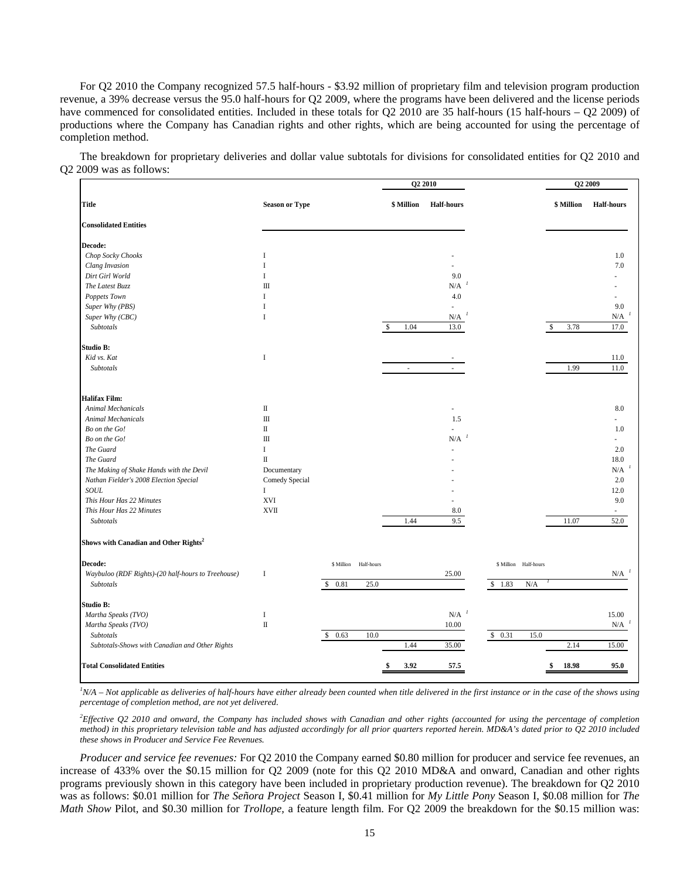For Q2 2010 the Company recognized 57.5 half-hours - \$3.92 million of proprietary film and television program production revenue, a 39% decrease versus the 95.0 half-hours for Q2 2009, where the programs have been delivered and the license periods have commenced for consolidated entities. Included in these totals for Q2 2010 are 35 half-hours (15 half-hours – Q2 2009) of productions where the Company has Canadian rights and other rights, which are being accounted for using the percentage of completion method.

The breakdown for proprietary deliveries and dollar value subtotals for divisions for consolidated entities for Q2 2010 and Q2 2009 was as follows:

|                                                    |                       |            |            | Q2 2010              |                                 |                       | Q2 2009             |                                 |
|----------------------------------------------------|-----------------------|------------|------------|----------------------|---------------------------------|-----------------------|---------------------|---------------------------------|
| <b>Title</b>                                       | <b>Season or Type</b> |            |            | \$ Million           | <b>Half-hours</b>               |                       | \$ Million          | <b>Half-hours</b>               |
| <b>Consolidated Entities</b>                       |                       |            |            |                      |                                 |                       |                     |                                 |
| Decode:                                            |                       |            |            |                      |                                 |                       |                     |                                 |
| Chop Socky Chooks                                  | I                     |            |            |                      |                                 |                       |                     | 1.0                             |
| Clang Invasion                                     | I                     |            |            |                      |                                 |                       |                     | 7.0                             |
| Dirt Girl World                                    | I                     |            |            |                      | 9.0                             |                       |                     |                                 |
| The Latest Buzz                                    | Ш                     |            |            |                      | N/A                             |                       |                     |                                 |
| Poppets Town                                       | I                     |            |            |                      | 4.0                             |                       |                     |                                 |
| Super Why (PBS)                                    | I                     |            |            |                      |                                 |                       |                     | 9.0                             |
| Super Why (CBC)                                    | $\mathbf I$           |            |            |                      | N/A                             |                       |                     | N/A                             |
| Subtotals                                          |                       |            |            | $\mathbb{S}$<br>1.04 | 13.0                            |                       | $\mathbb S$<br>3.78 | 17.0                            |
| Studio B:                                          |                       |            |            |                      |                                 |                       |                     |                                 |
| Kid vs. Kat                                        | $\bf I$               |            |            |                      |                                 |                       |                     | 11.0                            |
| Subtotals                                          |                       |            |            | $\omega$             |                                 |                       | 1.99                | 11.0                            |
| <b>Halifax Film:</b>                               |                       |            |            |                      |                                 |                       |                     |                                 |
|                                                    | $\rm II$              |            |            |                      |                                 |                       |                     |                                 |
| Animal Mechanicals                                 |                       |            |            |                      |                                 |                       |                     | 8.0                             |
| Animal Mechanicals                                 | $\rm III$             |            |            |                      | 1.5                             |                       |                     |                                 |
| Bo on the Go!                                      | $\rm II$              |            |            |                      |                                 |                       |                     | 1.0                             |
| Bo on the Go!                                      | $\rm III$             |            |            |                      | N/A                             |                       |                     |                                 |
| The Guard                                          | I                     |            |            |                      |                                 |                       |                     | 2.0                             |
| The Guard                                          | $\rm II$              |            |            |                      |                                 |                       |                     | 18.0                            |
| The Making of Shake Hands with the Devil           | Documentary           |            |            |                      |                                 |                       |                     | $N/A$ <sup><math>I</math></sup> |
| Nathan Fielder's 2008 Election Special             | Comedy Special        |            |            |                      |                                 |                       |                     | 2.0                             |
| SOUL                                               | I                     |            |            |                      |                                 |                       |                     | 12.0                            |
| This Hour Has 22 Minutes                           | XVI                   |            |            |                      |                                 |                       |                     | 9.0                             |
| This Hour Has 22 Minutes                           | <b>XVII</b>           |            |            |                      | 8.0                             |                       |                     |                                 |
| Subtotals                                          |                       |            |            | 1.44                 | 9.5                             |                       | 11.07               | 52.0                            |
| Shows with Canadian and Other Rights <sup>2</sup>  |                       |            |            |                      |                                 |                       |                     |                                 |
| Decode:                                            |                       | \$ Million | Half-hours |                      |                                 | \$ Million Half-hours |                     |                                 |
| Waybuloo (RDF Rights)-(20 half-hours to Treehouse) | $\mathbf I$           |            |            |                      | 25.00                           |                       |                     | N/A                             |
| Subtotals                                          |                       | 0.81<br>S  | 25.0       |                      |                                 | \$1.83<br>N/A         |                     |                                 |
| <b>Studio B:</b>                                   |                       |            |            |                      |                                 |                       |                     |                                 |
| Martha Speaks (TVO)                                | I                     |            |            |                      | $N/A$ <sup><math>1</math></sup> |                       |                     | 15.00                           |
| Martha Speaks (TVO)                                | $\rm II$              |            |            |                      | 10.00                           |                       |                     | $\rm N/A$                       |
| Subtotals                                          |                       | \$<br>0.63 | 10.0       |                      |                                 | \$ 0.31<br>15.0       |                     |                                 |
| Subtotals-Shows with Canadian and Other Rights     |                       |            |            | 1.44                 | 35.00                           |                       | 2.14                | 15.00                           |
| <b>Total Consolidated Entities</b>                 |                       |            |            | 3.92                 | 57.5                            |                       | 18.98               | 95.0                            |

<sup>*IN/A – Not applicable as deliveries of half-hours have either already been counted when title delivered in the first instance or in the case of the shows using</sup> percentage of completion method, are not yet delivered*.

*2 Effective Q2 2010 and onward, the Company has included shows with Canadian and other rights (accounted for using the percentage of completion method) in this proprietary television table and has adjusted accordingly for all prior quarters reported herein. MD&A's dated prior to Q2 2010 included these shows in Producer and Service Fee Revenues.* 

*Producer and service fee revenues:* For Q2 2010 the Company earned \$0.80 million for producer and service fee revenues, an increase of 433% over the \$0.15 million for Q2 2009 (note for this Q2 2010 MD&A and onward, Canadian and other rights programs previously shown in this category have been included in proprietary production revenue). The breakdown for Q2 2010 was as follows: \$0.01 million for *The Señora Project* Season I, \$0.41 million for *My Little Pony* Season I, \$0.08 million for *The Math Show* Pilot, and \$0.30 million for *Trollope,* a feature length film. For Q2 2009 the breakdown for the \$0.15 million was: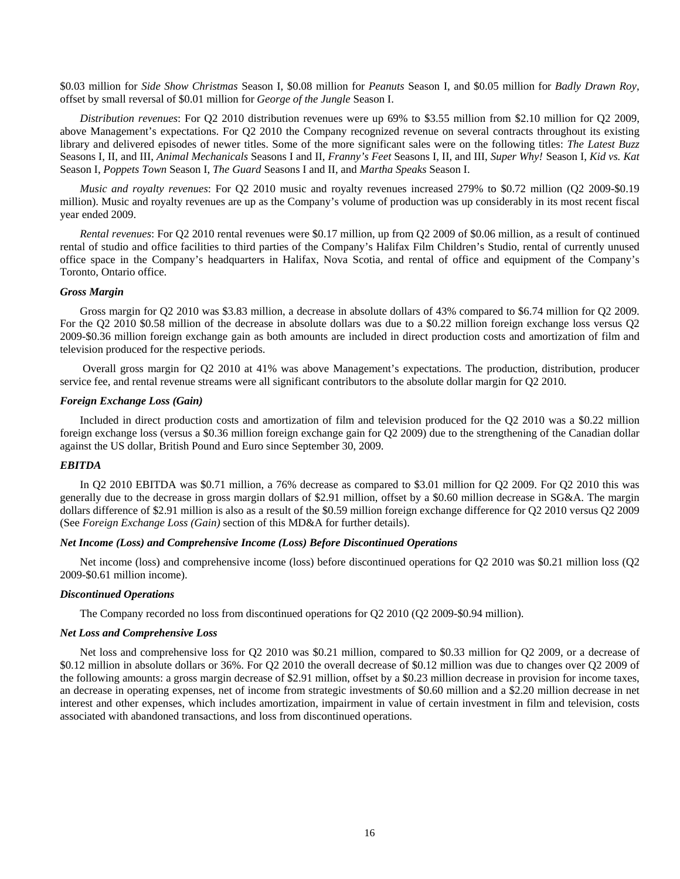\$0.03 million for *Side Show Christmas* Season I, \$0.08 million for *Peanuts* Season I, and \$0.05 million for *Badly Drawn Roy*, offset by small reversal of \$0.01 million for *George of the Jungle* Season I.

*Distribution revenues*: For Q2 2010 distribution revenues were up 69% to \$3.55 million from \$2.10 million for Q2 2009, above Management's expectations. For Q2 2010 the Company recognized revenue on several contracts throughout its existing library and delivered episodes of newer titles. Some of the more significant sales were on the following titles: *The Latest Buzz* Seasons I, II, and III, *Animal Mechanicals* Seasons I and II, *Franny's Feet* Seasons I, II, and III, *Super Why!* Season I, *Kid vs. Kat* Season I, *Poppets Town* Season I, *The Guard* Seasons I and II, and *Martha Speaks* Season I.

*Music and royalty revenues*: For Q2 2010 music and royalty revenues increased 279% to \$0.72 million (Q2 2009-\$0.19 million). Music and royalty revenues are up as the Company's volume of production was up considerably in its most recent fiscal year ended 2009.

*Rental revenues*: For Q2 2010 rental revenues were \$0.17 million, up from Q2 2009 of \$0.06 million, as a result of continued rental of studio and office facilities to third parties of the Company's Halifax Film Children's Studio, rental of currently unused office space in the Company's headquarters in Halifax, Nova Scotia, and rental of office and equipment of the Company's Toronto, Ontario office.

#### *Gross Margin*

Gross margin for Q2 2010 was \$3.83 million, a decrease in absolute dollars of 43% compared to \$6.74 million for Q2 2009. For the Q2 2010 \$0.58 million of the decrease in absolute dollars was due to a \$0.22 million foreign exchange loss versus Q2 2009-\$0.36 million foreign exchange gain as both amounts are included in direct production costs and amortization of film and television produced for the respective periods.

 Overall gross margin for Q2 2010 at 41% was above Management's expectations. The production, distribution, producer service fee, and rental revenue streams were all significant contributors to the absolute dollar margin for Q2 2010.

#### *Foreign Exchange Loss (Gain)*

Included in direct production costs and amortization of film and television produced for the Q2 2010 was a \$0.22 million foreign exchange loss (versus a \$0.36 million foreign exchange gain for Q2 2009) due to the strengthening of the Canadian dollar against the US dollar, British Pound and Euro since September 30, 2009.

#### *EBITDA*

In Q2 2010 EBITDA was \$0.71 million, a 76% decrease as compared to \$3.01 million for Q2 2009. For Q2 2010 this was generally due to the decrease in gross margin dollars of \$2.91 million, offset by a \$0.60 million decrease in SG&A. The margin dollars difference of \$2.91 million is also as a result of the \$0.59 million foreign exchange difference for Q2 2010 versus Q2 2009 (See *Foreign Exchange Loss (Gain)* section of this MD&A for further details).

#### *Net Income (Loss) and Comprehensive Income (Loss) Before Discontinued Operations*

Net income (loss) and comprehensive income (loss) before discontinued operations for Q2 2010 was \$0.21 million loss (Q2 2009-\$0.61 million income).

#### *Discontinued Operations*

The Company recorded no loss from discontinued operations for Q2 2010 (Q2 2009-\$0.94 million).

#### *Net Loss and Comprehensive Loss*

Net loss and comprehensive loss for Q2 2010 was \$0.21 million, compared to \$0.33 million for Q2 2009, or a decrease of \$0.12 million in absolute dollars or 36%. For Q2 2010 the overall decrease of \$0.12 million was due to changes over Q2 2009 of the following amounts: a gross margin decrease of \$2.91 million, offset by a \$0.23 million decrease in provision for income taxes, an decrease in operating expenses, net of income from strategic investments of \$0.60 million and a \$2.20 million decrease in net interest and other expenses, which includes amortization, impairment in value of certain investment in film and television, costs associated with abandoned transactions, and loss from discontinued operations.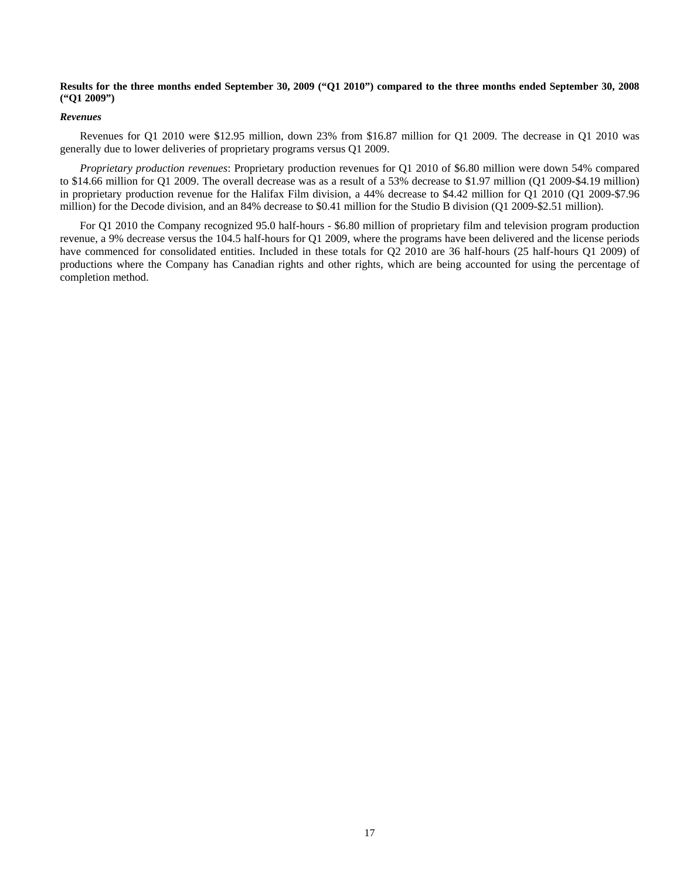#### **Results for the three months ended September 30, 2009 ("Q1 2010") compared to the three months ended September 30, 2008 ("Q1 2009")**

#### *Revenues*

Revenues for Q1 2010 were \$12.95 million, down 23% from \$16.87 million for Q1 2009. The decrease in Q1 2010 was generally due to lower deliveries of proprietary programs versus Q1 2009.

*Proprietary production revenues*: Proprietary production revenues for Q1 2010 of \$6.80 million were down 54% compared to \$14.66 million for Q1 2009. The overall decrease was as a result of a 53% decrease to \$1.97 million (Q1 2009-\$4.19 million) in proprietary production revenue for the Halifax Film division, a 44% decrease to \$4.42 million for Q1 2010 (Q1 2009-\$7.96 million) for the Decode division, and an 84% decrease to \$0.41 million for the Studio B division (Q1 2009-\$2.51 million).

For Q1 2010 the Company recognized 95.0 half-hours - \$6.80 million of proprietary film and television program production revenue, a 9% decrease versus the 104.5 half-hours for Q1 2009, where the programs have been delivered and the license periods have commenced for consolidated entities. Included in these totals for Q2 2010 are 36 half-hours (25 half-hours Q1 2009) of productions where the Company has Canadian rights and other rights, which are being accounted for using the percentage of completion method.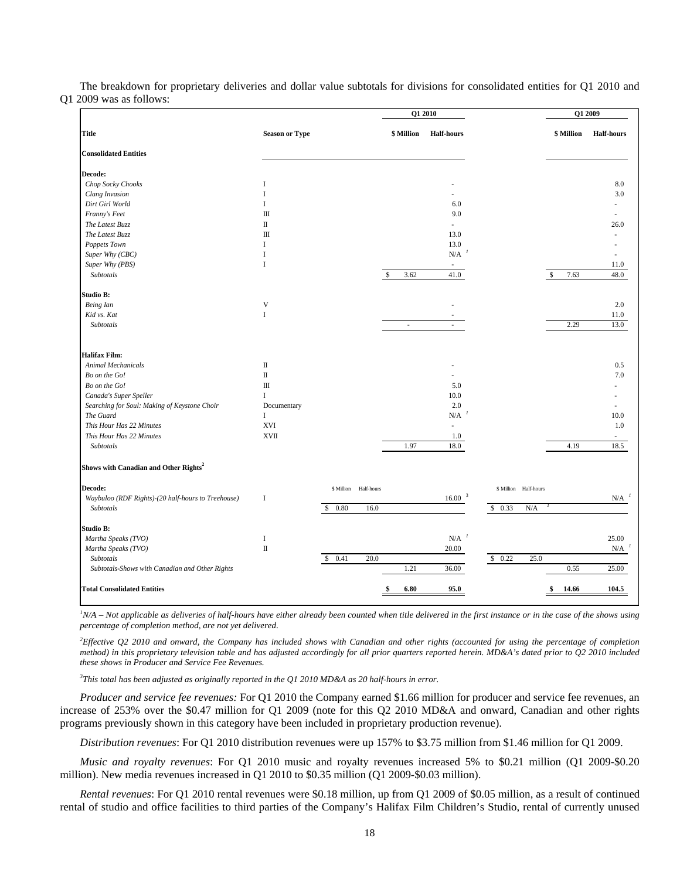The breakdown for proprietary deliveries and dollar value subtotals for divisions for consolidated entities for Q1 2010 and Q1 2009 was as follows:

|                                                    |                       |            |            | Q1 2010    |                    |        |                       | Q1 2009    |                   |
|----------------------------------------------------|-----------------------|------------|------------|------------|--------------------|--------|-----------------------|------------|-------------------|
| <b>Title</b>                                       | <b>Season or Type</b> |            |            | \$ Million | <b>Half-hours</b>  |        |                       | \$ Million | <b>Half-hours</b> |
| <b>Consolidated Entities</b>                       |                       |            |            |            |                    |        |                       |            |                   |
| Decode:                                            |                       |            |            |            |                    |        |                       |            |                   |
| Chop Socky Chooks                                  | $\mathbf I$           |            |            |            |                    |        |                       |            | 8.0               |
| Clang Invasion                                     | $\mathbf I$           |            |            |            |                    |        |                       |            | 3.0               |
| Dirt Girl World                                    | $\mathbf I$           |            |            |            | 6.0                |        |                       |            |                   |
| Franny's Feet                                      | $\rm III$             |            |            |            | 9.0                |        |                       |            |                   |
| The Latest Buzz                                    | $\rm II$              |            |            |            |                    |        |                       |            | 26.0              |
| The Latest Buzz                                    | $\rm III$             |            |            |            | 13.0               |        |                       |            |                   |
| Poppets Town                                       | $\mathbf I$           |            |            |            | 13.0               |        |                       |            |                   |
| Super Why (CBC)                                    | $\mathbf I$           |            |            |            | N/A                |        |                       |            |                   |
| Super Why (PBS)                                    | $\mathbf I$           |            |            |            |                    |        |                       |            | 11.0              |
| Subtotals                                          |                       |            |            | 3.62<br>\$ | 41.0               |        |                       | 7.63<br>\$ | 48.0              |
| Studio B:                                          |                       |            |            |            |                    |        |                       |            |                   |
| <b>Being</b> Ian                                   | $\mathbf V$           |            |            |            |                    |        |                       |            | 2.0               |
| Kid vs. Kat                                        | $\mathbf I$           |            |            |            |                    |        |                       |            | 11.0              |
| Subtotals                                          |                       |            |            | ÷,         |                    |        |                       | 2.29       | 13.0              |
| <b>Halifax Film:</b>                               |                       |            |            |            |                    |        |                       |            |                   |
| <b>Animal Mechanicals</b>                          | $\rm II$              |            |            |            |                    |        |                       |            | 0.5               |
| Bo on the Go!                                      | $\rm II$              |            |            |            |                    |        |                       |            | 7.0               |
| Bo on the Go!                                      | $\rm III$             |            |            |            | 5.0                |        |                       |            |                   |
| Canada's Super Speller                             | $\bf{I}$              |            |            |            | 10.0               |        |                       |            |                   |
| Searching for Soul: Making of Keystone Choir       | Documentary           |            |            |            | 2.0                |        |                       |            |                   |
| The Guard                                          | $\mathbf I$           |            |            |            | N/A                |        |                       |            | 10.0              |
| This Hour Has 22 Minutes                           | XVI                   |            |            |            | $\sim$             |        |                       |            | 1.0               |
| This Hour Has 22 Minutes                           | <b>XVII</b>           |            |            |            | 1.0                |        |                       |            | ÷                 |
| Subtotals                                          |                       |            |            | 1.97       | 18.0               |        |                       | 4.19       | 18.5              |
| Shows with Canadian and Other Rights <sup>2</sup>  |                       |            |            |            |                    |        |                       |            |                   |
| Decode:                                            |                       | \$ Million | Half-hours |            |                    |        | \$ Million Half-hours |            |                   |
| Waybuloo (RDF Rights)-(20 half-hours to Treehouse) | $\mathbf I$           |            |            |            | 16.00 <sup>3</sup> |        |                       |            | N/A               |
| Subtotals                                          |                       | \$<br>0.80 | 16.0       |            |                    | \$0.33 | N/A                   |            |                   |
| Studio B:                                          |                       |            |            |            |                    |        |                       |            |                   |
| Martha Speaks (TVO)                                | $\rm I$               |            |            |            | N/A                |        |                       |            | 25.00             |
| Martha Speaks (TVO)                                | $\rm II$              |            |            |            | 20.00              |        |                       |            | N/A               |
| Subtotals                                          |                       | 0.41<br>S  | 20.0       |            |                    | \$0.22 | 25.0                  |            |                   |
| Subtotals-Shows with Canadian and Other Rights     |                       |            |            | 1.21       | 36.00              |        |                       | 0.55       | 25.00             |
| <b>Total Consolidated Entities</b>                 |                       |            |            | 6.80       | 95.0               |        |                       | 14.66      | 104.5             |

<sup>*IN/A – Not applicable as deliveries of half-hours have either already been counted when title delivered in the first instance or in the case of the shows using</sup> percentage of completion method, are not yet delivered*.

*2 Effective Q2 2010 and onward, the Company has included shows with Canadian and other rights (accounted for using the percentage of completion method) in this proprietary television table and has adjusted accordingly for all prior quarters reported herein. MD&A's dated prior to Q2 2010 included these shows in Producer and Service Fee Revenues.* 

*3 This total has been adjusted as originally reported in the Q1 2010 MD&A as 20 half-hours in error.* 

*Producer and service fee revenues:* For Q1 2010 the Company earned \$1.66 million for producer and service fee revenues, an increase of 253% over the \$0.47 million for Q1 2009 (note for this Q2 2010 MD&A and onward, Canadian and other rights programs previously shown in this category have been included in proprietary production revenue).

*Distribution revenues*: For Q1 2010 distribution revenues were up 157% to \$3.75 million from \$1.46 million for Q1 2009.

*Music and royalty revenues*: For Q1 2010 music and royalty revenues increased 5% to \$0.21 million (Q1 2009-\$0.20 million). New media revenues increased in Q1 2010 to \$0.35 million (Q1 2009-\$0.03 million).

*Rental revenues*: For Q1 2010 rental revenues were \$0.18 million, up from Q1 2009 of \$0.05 million, as a result of continued rental of studio and office facilities to third parties of the Company's Halifax Film Children's Studio, rental of currently unused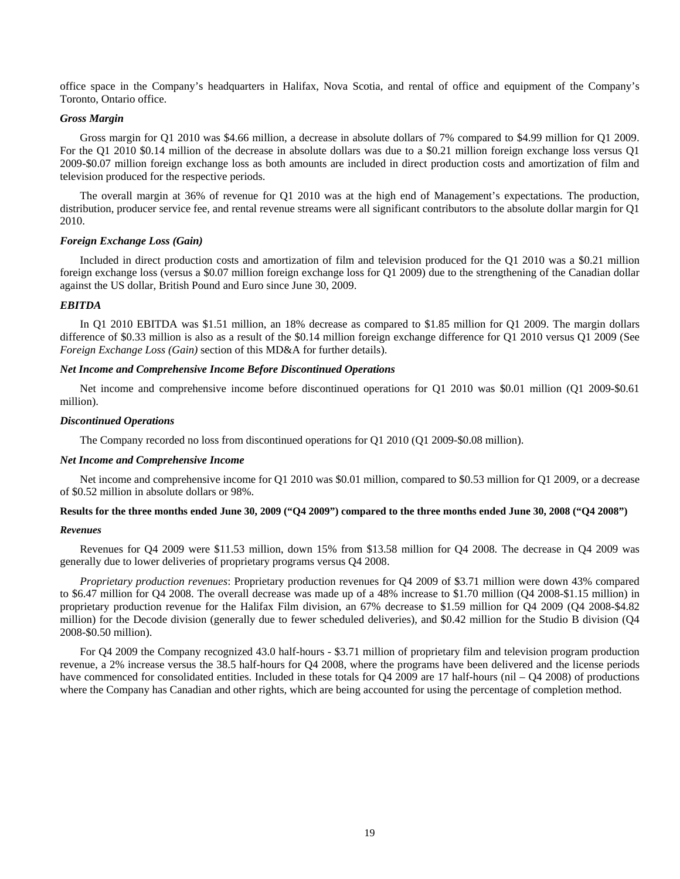office space in the Company's headquarters in Halifax, Nova Scotia, and rental of office and equipment of the Company's Toronto, Ontario office.

#### *Gross Margin*

Gross margin for Q1 2010 was \$4.66 million, a decrease in absolute dollars of 7% compared to \$4.99 million for Q1 2009. For the Q1 2010 \$0.14 million of the decrease in absolute dollars was due to a \$0.21 million foreign exchange loss versus Q1 2009-\$0.07 million foreign exchange loss as both amounts are included in direct production costs and amortization of film and television produced for the respective periods.

The overall margin at 36% of revenue for Q1 2010 was at the high end of Management's expectations. The production, distribution, producer service fee, and rental revenue streams were all significant contributors to the absolute dollar margin for Q1 2010.

#### *Foreign Exchange Loss (Gain)*

Included in direct production costs and amortization of film and television produced for the Q1 2010 was a \$0.21 million foreign exchange loss (versus a \$0.07 million foreign exchange loss for Q1 2009) due to the strengthening of the Canadian dollar against the US dollar, British Pound and Euro since June 30, 2009.

### *EBITDA*

In Q1 2010 EBITDA was \$1.51 million, an 18% decrease as compared to \$1.85 million for Q1 2009. The margin dollars difference of \$0.33 million is also as a result of the \$0.14 million foreign exchange difference for Q1 2010 versus Q1 2009 (See *Foreign Exchange Loss (Gain)* section of this MD&A for further details).

#### *Net Income and Comprehensive Income Before Discontinued Operations*

Net income and comprehensive income before discontinued operations for Q1 2010 was \$0.01 million (Q1 2009-\$0.61 million).

#### *Discontinued Operations*

The Company recorded no loss from discontinued operations for Q1 2010 (Q1 2009-\$0.08 million).

#### *Net Income and Comprehensive Income*

Net income and comprehensive income for Q1 2010 was \$0.01 million, compared to \$0.53 million for Q1 2009, or a decrease of \$0.52 million in absolute dollars or 98%.

#### **Results for the three months ended June 30, 2009 ("Q4 2009") compared to the three months ended June 30, 2008 ("Q4 2008")**

#### *Revenues*

Revenues for Q4 2009 were \$11.53 million, down 15% from \$13.58 million for Q4 2008. The decrease in Q4 2009 was generally due to lower deliveries of proprietary programs versus Q4 2008.

*Proprietary production revenues*: Proprietary production revenues for Q4 2009 of \$3.71 million were down 43% compared to \$6.47 million for Q4 2008. The overall decrease was made up of a 48% increase to \$1.70 million (Q4 2008-\$1.15 million) in proprietary production revenue for the Halifax Film division, an 67% decrease to \$1.59 million for Q4 2009 (Q4 2008-\$4.82 million) for the Decode division (generally due to fewer scheduled deliveries), and \$0.42 million for the Studio B division (Q4 2008-\$0.50 million).

For Q4 2009 the Company recognized 43.0 half-hours - \$3.71 million of proprietary film and television program production revenue, a 2% increase versus the 38.5 half-hours for Q4 2008, where the programs have been delivered and the license periods have commenced for consolidated entities. Included in these totals for Q4 2009 are 17 half-hours (nil – Q4 2008) of productions where the Company has Canadian and other rights, which are being accounted for using the percentage of completion method.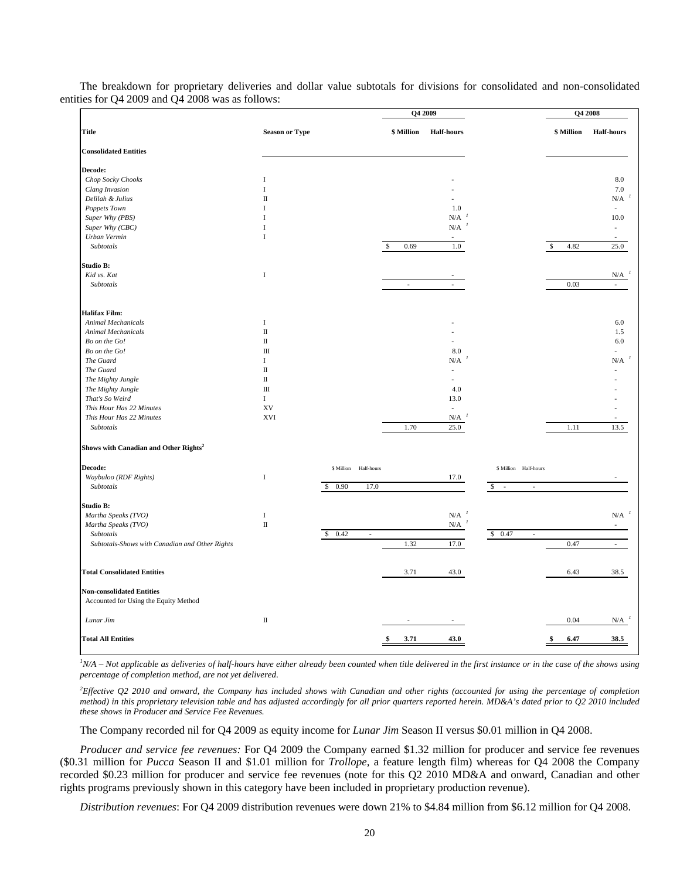|                                                                           |                                  |                                                  | Q4 2009                  |                   |                                          | Q4 2008             |                                 |
|---------------------------------------------------------------------------|----------------------------------|--------------------------------------------------|--------------------------|-------------------|------------------------------------------|---------------------|---------------------------------|
| <b>Title</b>                                                              | <b>Season or Type</b>            |                                                  | \$ Million               | <b>Half-hours</b> |                                          | \$ Million          | <b>Half-hours</b>               |
| <b>Consolidated Entities</b>                                              |                                  |                                                  |                          |                   |                                          |                     |                                 |
| Decode:                                                                   |                                  |                                                  |                          |                   |                                          |                     |                                 |
| Chop Socky Chooks                                                         | I                                |                                                  |                          |                   |                                          |                     | 8.0                             |
| Clang Invasion                                                            | I                                |                                                  |                          |                   |                                          |                     | 7.0                             |
| Delilah & Julius                                                          | $\mathbf{I}$                     |                                                  |                          |                   |                                          |                     | $N/A$ <sup><math>1</math></sup> |
| Poppets Town                                                              | I                                |                                                  |                          | 1.0               |                                          |                     |                                 |
| Super Why (PBS)                                                           | I                                |                                                  |                          | N/A               |                                          |                     | 10.0                            |
| Super Why (CBC)                                                           | I                                |                                                  |                          | N/A               |                                          |                     |                                 |
| Urban Vermin                                                              | I                                |                                                  |                          |                   |                                          |                     |                                 |
| Subtotals                                                                 |                                  |                                                  | 0.69<br>$\mathbf{s}$     | 1.0               |                                          | 4.82<br>$\mathbf S$ | 25.0                            |
| Studio B:                                                                 |                                  |                                                  |                          |                   |                                          |                     |                                 |
| Kid vs. Kat                                                               | $\bf I$                          |                                                  |                          |                   |                                          |                     | N/A                             |
| Subtotals                                                                 |                                  |                                                  | $\overline{\phantom{a}}$ |                   |                                          | 0.03                |                                 |
| <b>Halifax Film:</b>                                                      |                                  |                                                  |                          |                   |                                          |                     |                                 |
| Animal Mechanicals                                                        | 1                                |                                                  |                          |                   |                                          |                     | 6.0                             |
| <b>Animal Mechanicals</b>                                                 | $\rm II$                         |                                                  |                          |                   |                                          |                     | 1.5                             |
| Bo on the Go!                                                             | $\rm II$                         |                                                  |                          |                   |                                          |                     | 6.0                             |
| Bo on the Go!                                                             | $\rm III$                        |                                                  |                          | 8.0               |                                          |                     |                                 |
| The Guard                                                                 | $\mathbf I$                      |                                                  |                          | ${\rm N/A}$       |                                          |                     | $\rm N/A$ $^{-1}$               |
| The Guard                                                                 | $\rm II$                         |                                                  |                          |                   |                                          |                     |                                 |
|                                                                           |                                  |                                                  |                          |                   |                                          |                     |                                 |
| The Mighty Jungle                                                         | П                                |                                                  |                          |                   |                                          |                     |                                 |
| The Mighty Jungle                                                         | $\mathop{\mathrm{III}}\nolimits$ |                                                  |                          | 4.0               |                                          |                     |                                 |
| That's So Weird                                                           | $\bf I$                          |                                                  |                          | 13.0              |                                          |                     |                                 |
| This Hour Has 22 Minutes                                                  | XV                               |                                                  |                          |                   |                                          |                     |                                 |
| This Hour Has 22 Minutes<br>Subtotals                                     | XVI                              |                                                  | 1.70                     | N/A<br>25.0       |                                          | 1.11                | 13.5                            |
| Shows with Canadian and Other Rights <sup>2</sup>                         |                                  |                                                  |                          |                   |                                          |                     |                                 |
| Decode:                                                                   |                                  | \$ Million<br>Half-hours                         |                          |                   | \$ Million Half-hours                    |                     |                                 |
| Waybuloo (RDF Rights)                                                     | $\bf I$                          |                                                  |                          | 17.0              |                                          |                     |                                 |
| Subtotals                                                                 |                                  | 0.90<br>17.0<br>\$                               |                          |                   | \$<br>$\sim$<br>$\overline{\phantom{a}}$ |                     |                                 |
| Studio B:                                                                 |                                  |                                                  |                          |                   |                                          |                     |                                 |
| Martha Speaks (TVO)                                                       | $\bf I$                          |                                                  |                          | N/A               |                                          |                     | $N/A$ <sup><math>1</math></sup> |
| Martha Speaks (TVO)                                                       | $\rm II$                         |                                                  |                          | N/A               |                                          |                     |                                 |
| Subtotals                                                                 |                                  | 0.42<br>$\mathbb{S}$<br>$\overline{\phantom{a}}$ |                          |                   | \$0.47<br>÷,                             |                     |                                 |
| Subtotals-Shows with Canadian and Other Rights                            |                                  |                                                  | 1.32                     | 17.0              |                                          | 0.47                | $\mathcal{L}_{\mathcal{A}}$     |
| <b>Total Consolidated Entities</b>                                        |                                  |                                                  | 3.71                     | 43.0              |                                          | 6.43                | 38.5                            |
| <b>Non-consolidated Entities</b><br>Accounted for Using the Equity Method |                                  |                                                  |                          |                   |                                          |                     |                                 |
| Lunar Jim                                                                 | $\rm II$                         |                                                  |                          |                   |                                          | 0.04                | $\rm N/A$                       |
| <b>Total All Entities</b>                                                 |                                  |                                                  | 3.71                     | 43.0              |                                          | 6.47                | 38.5                            |
|                                                                           |                                  |                                                  |                          |                   |                                          |                     |                                 |

The breakdown for proprietary deliveries and dollar value subtotals for divisions for consolidated and non-consolidated entities for Q4 2009 and Q4 2008 was as follows:

<sup>*IN/A – Not applicable as deliveries of half-hours have either already been counted when title delivered in the first instance or in the case of the shows using</sup> percentage of completion method, are not yet delivered*.

*2 Effective Q2 2010 and onward, the Company has included shows with Canadian and other rights (accounted for using the percentage of completion method) in this proprietary television table and has adjusted accordingly for all prior quarters reported herein. MD&A's dated prior to Q2 2010 included these shows in Producer and Service Fee Revenues.* 

The Company recorded nil for Q4 2009 as equity income for *Lunar Jim* Season II versus \$0.01 million in Q4 2008.

*Producer and service fee revenues:* For Q4 2009 the Company earned \$1.32 million for producer and service fee revenues (\$0.31 million for *Pucca* Season II and \$1.01 million for *Trollope,* a feature length film) whereas for Q4 2008 the Company recorded \$0.23 million for producer and service fee revenues (note for this Q2 2010 MD&A and onward, Canadian and other rights programs previously shown in this category have been included in proprietary production revenue).

*Distribution revenues*: For Q4 2009 distribution revenues were down 21% to \$4.84 million from \$6.12 million for Q4 2008.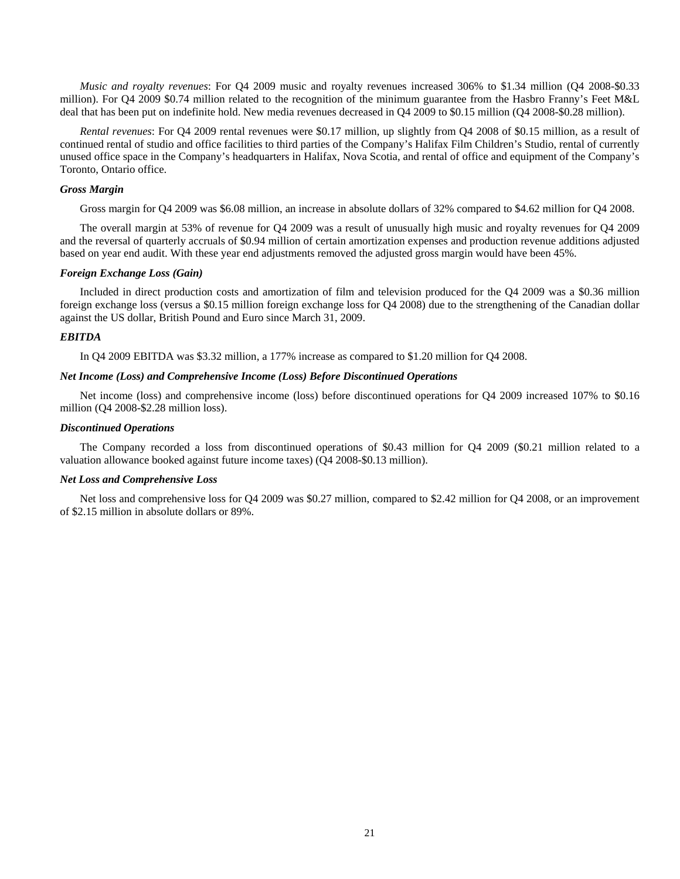*Music and royalty revenues*: For Q4 2009 music and royalty revenues increased 306% to \$1.34 million (Q4 2008-\$0.33 million). For Q4 2009 \$0.74 million related to the recognition of the minimum guarantee from the Hasbro Franny's Feet M&L deal that has been put on indefinite hold. New media revenues decreased in Q4 2009 to \$0.15 million (Q4 2008-\$0.28 million).

*Rental revenues*: For Q4 2009 rental revenues were \$0.17 million, up slightly from Q4 2008 of \$0.15 million, as a result of continued rental of studio and office facilities to third parties of the Company's Halifax Film Children's Studio, rental of currently unused office space in the Company's headquarters in Halifax, Nova Scotia, and rental of office and equipment of the Company's Toronto, Ontario office.

#### *Gross Margin*

Gross margin for Q4 2009 was \$6.08 million, an increase in absolute dollars of 32% compared to \$4.62 million for Q4 2008.

The overall margin at 53% of revenue for Q4 2009 was a result of unusually high music and royalty revenues for Q4 2009 and the reversal of quarterly accruals of \$0.94 million of certain amortization expenses and production revenue additions adjusted based on year end audit. With these year end adjustments removed the adjusted gross margin would have been 45%.

#### *Foreign Exchange Loss (Gain)*

Included in direct production costs and amortization of film and television produced for the Q4 2009 was a \$0.36 million foreign exchange loss (versus a \$0.15 million foreign exchange loss for Q4 2008) due to the strengthening of the Canadian dollar against the US dollar, British Pound and Euro since March 31, 2009.

#### *EBITDA*

In Q4 2009 EBITDA was \$3.32 million, a 177% increase as compared to \$1.20 million for Q4 2008.

#### *Net Income (Loss) and Comprehensive Income (Loss) Before Discontinued Operations*

Net income (loss) and comprehensive income (loss) before discontinued operations for Q4 2009 increased 107% to \$0.16 million (Q4 2008-\$2.28 million loss).

#### *Discontinued Operations*

The Company recorded a loss from discontinued operations of \$0.43 million for Q4 2009 (\$0.21 million related to a valuation allowance booked against future income taxes) (Q4 2008-\$0.13 million).

#### *Net Loss and Comprehensive Loss*

Net loss and comprehensive loss for Q4 2009 was \$0.27 million, compared to \$2.42 million for Q4 2008, or an improvement of \$2.15 million in absolute dollars or 89%.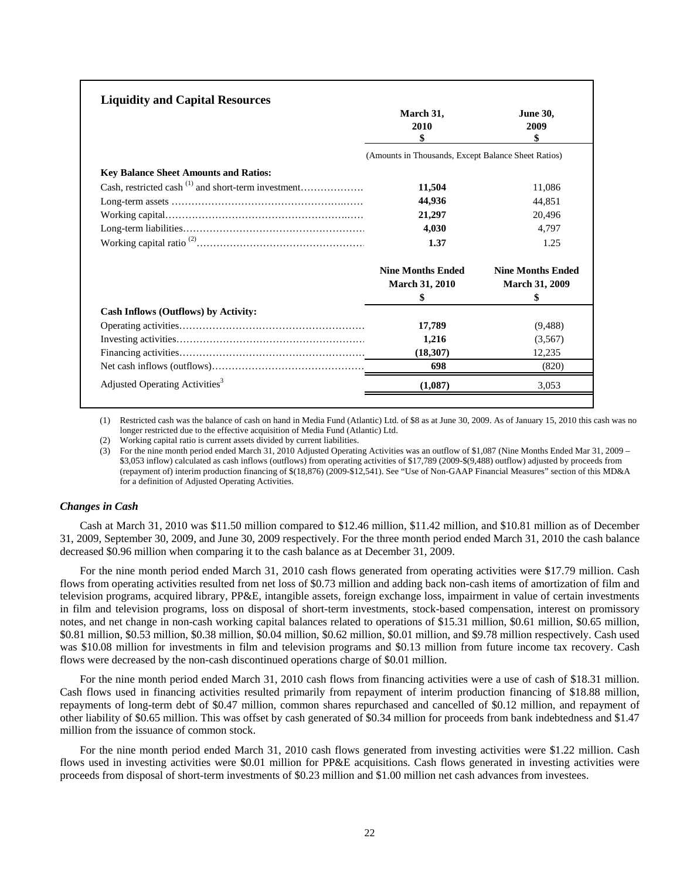| <b>Liquidity and Capital Resources</b>                   |                                                     |                          |
|----------------------------------------------------------|-----------------------------------------------------|--------------------------|
|                                                          | March 31,                                           | <b>June 30,</b>          |
|                                                          | 2010                                                | 2009                     |
|                                                          | \$                                                  | \$                       |
|                                                          | (Amounts in Thousands, Except Balance Sheet Ratios) |                          |
| <b>Key Balance Sheet Amounts and Ratios:</b>             |                                                     |                          |
| Cash, restricted cash $^{(1)}$ and short-term investment | 11,504                                              | 11,086                   |
|                                                          | 44,936                                              | 44.851                   |
|                                                          | 21,297                                              | 20.496                   |
|                                                          | 4,030                                               | 4.797                    |
|                                                          | 1.37                                                | 1.25                     |
|                                                          | <b>Nine Months Ended</b>                            | <b>Nine Months Ended</b> |
|                                                          | <b>March 31, 2010</b>                               | <b>March 31, 2009</b>    |
|                                                          | \$                                                  | \$                       |
| Cash Inflows (Outflows) by Activity:                     |                                                     |                          |
|                                                          | 17,789                                              | (9, 488)                 |
|                                                          | 1,216                                               | (3,567)                  |
|                                                          | (18, 307)                                           | 12.235                   |
|                                                          | 698                                                 | (820)                    |
| Adjusted Operating Activities <sup>3</sup>               | (1,087)                                             | 3,053                    |

(1) Restricted cash was the balance of cash on hand in Media Fund (Atlantic) Ltd. of \$8 as at June 30, 2009. As of January 15, 2010 this cash was no longer restricted due to the effective acquisition of Media Fund (Atlantic) Ltd.

(2) Working capital ratio is current assets divided by current liabilities.

(3) For the nine month period ended March 31, 2010 Adjusted Operating Activities was an outflow of \$1,087 (Nine Months Ended Mar 31, 2009 – \$3,053 inflow) calculated as cash inflows (outflows) from operating activities of \$17,789 (2009-\$(9,488) outflow) adjusted by proceeds from (repayment of) interim production financing of \$(18,876) (2009-\$12,541). See "Use of Non-GAAP Financial Measures" section of this MD&A for a definition of Adjusted Operating Activities.

#### *Changes in Cash*

Cash at March 31, 2010 was \$11.50 million compared to \$12.46 million, \$11.42 million, and \$10.81 million as of December 31, 2009, September 30, 2009, and June 30, 2009 respectively. For the three month period ended March 31, 2010 the cash balance decreased \$0.96 million when comparing it to the cash balance as at December 31, 2009.

For the nine month period ended March 31, 2010 cash flows generated from operating activities were \$17.79 million. Cash flows from operating activities resulted from net loss of \$0.73 million and adding back non-cash items of amortization of film and television programs, acquired library, PP&E, intangible assets, foreign exchange loss, impairment in value of certain investments in film and television programs, loss on disposal of short-term investments, stock-based compensation, interest on promissory notes, and net change in non-cash working capital balances related to operations of \$15.31 million, \$0.61 million, \$0.65 million, \$0.81 million, \$0.53 million, \$0.38 million, \$0.04 million, \$0.62 million, \$0.01 million, and \$9.78 million respectively. Cash used was \$10.08 million for investments in film and television programs and \$0.13 million from future income tax recovery. Cash flows were decreased by the non-cash discontinued operations charge of \$0.01 million.

For the nine month period ended March 31, 2010 cash flows from financing activities were a use of cash of \$18.31 million. Cash flows used in financing activities resulted primarily from repayment of interim production financing of \$18.88 million, repayments of long-term debt of \$0.47 million, common shares repurchased and cancelled of \$0.12 million, and repayment of other liability of \$0.65 million. This was offset by cash generated of \$0.34 million for proceeds from bank indebtedness and \$1.47 million from the issuance of common stock.

For the nine month period ended March 31, 2010 cash flows generated from investing activities were \$1.22 million. Cash flows used in investing activities were \$0.01 million for PP&E acquisitions. Cash flows generated in investing activities were proceeds from disposal of short-term investments of \$0.23 million and \$1.00 million net cash advances from investees.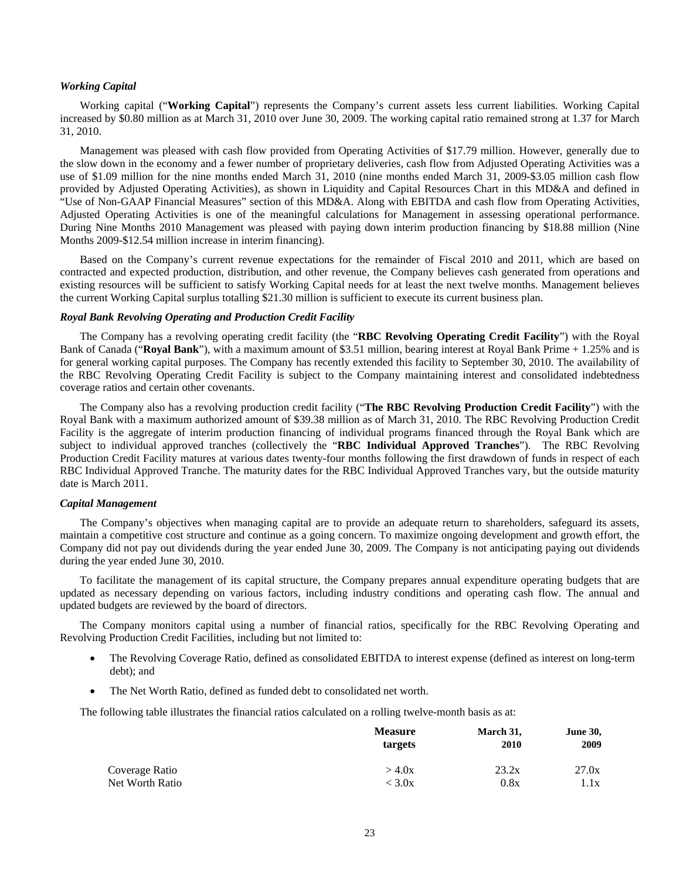#### *Working Capital*

Working capital ("**Working Capital**") represents the Company's current assets less current liabilities. Working Capital increased by \$0.80 million as at March 31, 2010 over June 30, 2009. The working capital ratio remained strong at 1.37 for March 31, 2010.

Management was pleased with cash flow provided from Operating Activities of \$17.79 million. However, generally due to the slow down in the economy and a fewer number of proprietary deliveries, cash flow from Adjusted Operating Activities was a use of \$1.09 million for the nine months ended March 31, 2010 (nine months ended March 31, 2009-\$3.05 million cash flow provided by Adjusted Operating Activities), as shown in Liquidity and Capital Resources Chart in this MD&A and defined in "Use of Non-GAAP Financial Measures" section of this MD&A. Along with EBITDA and cash flow from Operating Activities, Adjusted Operating Activities is one of the meaningful calculations for Management in assessing operational performance. During Nine Months 2010 Management was pleased with paying down interim production financing by \$18.88 million (Nine Months 2009-\$12.54 million increase in interim financing).

Based on the Company's current revenue expectations for the remainder of Fiscal 2010 and 2011, which are based on contracted and expected production, distribution, and other revenue, the Company believes cash generated from operations and existing resources will be sufficient to satisfy Working Capital needs for at least the next twelve months. Management believes the current Working Capital surplus totalling \$21.30 million is sufficient to execute its current business plan.

#### *Royal Bank Revolving Operating and Production Credit Facility*

The Company has a revolving operating credit facility (the "**RBC Revolving Operating Credit Facility**") with the Royal Bank of Canada ("**Royal Bank**"), with a maximum amount of \$3.51 million, bearing interest at Royal Bank Prime + 1.25% and is for general working capital purposes. The Company has recently extended this facility to September 30, 2010. The availability of the RBC Revolving Operating Credit Facility is subject to the Company maintaining interest and consolidated indebtedness coverage ratios and certain other covenants.

The Company also has a revolving production credit facility ("**The RBC Revolving Production Credit Facility**") with the Royal Bank with a maximum authorized amount of \$39.38 million as of March 31, 2010. The RBC Revolving Production Credit Facility is the aggregate of interim production financing of individual programs financed through the Royal Bank which are subject to individual approved tranches (collectively the "**RBC Individual Approved Tranches**"). The RBC Revolving Production Credit Facility matures at various dates twenty-four months following the first drawdown of funds in respect of each RBC Individual Approved Tranche. The maturity dates for the RBC Individual Approved Tranches vary, but the outside maturity date is March 2011.

#### *Capital Management*

The Company's objectives when managing capital are to provide an adequate return to shareholders, safeguard its assets, maintain a competitive cost structure and continue as a going concern. To maximize ongoing development and growth effort, the Company did not pay out dividends during the year ended June 30, 2009. The Company is not anticipating paying out dividends during the year ended June 30, 2010.

To facilitate the management of its capital structure, the Company prepares annual expenditure operating budgets that are updated as necessary depending on various factors, including industry conditions and operating cash flow. The annual and updated budgets are reviewed by the board of directors.

The Company monitors capital using a number of financial ratios, specifically for the RBC Revolving Operating and Revolving Production Credit Facilities, including but not limited to:

- The Revolving Coverage Ratio, defined as consolidated EBITDA to interest expense (defined as interest on long-term debt); and
- The Net Worth Ratio, defined as funded debt to consolidated net worth.

The following table illustrates the financial ratios calculated on a rolling twelve-month basis as at:

|                 | <b>Measure</b> | March 31, | <b>June 30,</b> |
|-----------------|----------------|-----------|-----------------|
|                 | targets        | 2010      | 2009            |
| Coverage Ratio  | $>$ 4.0x       | 23.2x     | 27.0x           |
| Net Worth Ratio | < 3.0x         | 0.8x      | 1.1x            |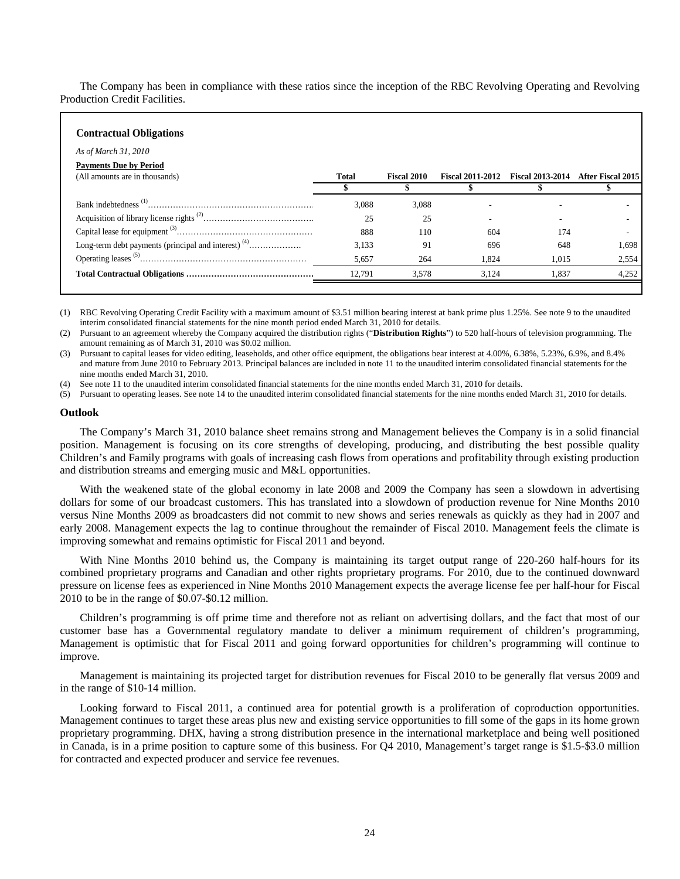The Company has been in compliance with these ratios since the inception of the RBC Revolving Operating and Revolving Production Credit Facilities.

| <b>Total</b> | Fiscal 2010 |       |       | After Fiscal 2015                                  |
|--------------|-------------|-------|-------|----------------------------------------------------|
|              |             |       |       |                                                    |
| 3.088        | 3.088       |       |       |                                                    |
| 25           | 25          |       |       |                                                    |
| 888          | 110         | 604   | 174   |                                                    |
| 3,133        | 91          | 696   | 648   | 1,698                                              |
| 5,657        | 264         | 1,824 | 1,015 | 2,554                                              |
| 12,791       | 3,578       | 3.124 | 1,837 | 4,252                                              |
|              |             |       |       | <b>Fiscal 2013-2014</b><br><b>Fiscal 2011-2012</b> |

(1) RBC Revolving Operating Credit Facility with a maximum amount of \$3.51 million bearing interest at bank prime plus 1.25%. See note 9 to the unaudited interim consolidated financial statements for the nine month period ended March 31, 2010 for details.

(2) Pursuant to an agreement whereby the Company acquired the distribution rights ("**Distribution Rights**") to 520 half-hours of television programming. The amount remaining as of March 31, 2010 was \$0.02 million.

(3) Pursuant to capital leases for video editing, leaseholds, and other office equipment, the obligations bear interest at 4.00%, 6.38%, 5.23%, 6.9%, and 8.4% and mature from June 2010 to February 2013. Principal balances are included in note 11 to the unaudited interim consolidated financial statements for the nine months ended March 31, 2010.

(4) See note 11 to the unaudited interim consolidated financial statements for the nine months ended March 31, 2010 for details.

(5) Pursuant to operating leases. See note 14 to the unaudited interim consolidated financial statements for the nine months ended March 31, 2010 for details.

#### **Outlook**

The Company's March 31, 2010 balance sheet remains strong and Management believes the Company is in a solid financial position. Management is focusing on its core strengths of developing, producing, and distributing the best possible quality Children's and Family programs with goals of increasing cash flows from operations and profitability through existing production and distribution streams and emerging music and M&L opportunities.

With the weakened state of the global economy in late 2008 and 2009 the Company has seen a slowdown in advertising dollars for some of our broadcast customers. This has translated into a slowdown of production revenue for Nine Months 2010 versus Nine Months 2009 as broadcasters did not commit to new shows and series renewals as quickly as they had in 2007 and early 2008. Management expects the lag to continue throughout the remainder of Fiscal 2010. Management feels the climate is improving somewhat and remains optimistic for Fiscal 2011 and beyond.

With Nine Months 2010 behind us, the Company is maintaining its target output range of 220-260 half-hours for its combined proprietary programs and Canadian and other rights proprietary programs. For 2010, due to the continued downward pressure on license fees as experienced in Nine Months 2010 Management expects the average license fee per half-hour for Fiscal 2010 to be in the range of \$0.07-\$0.12 million.

Children's programming is off prime time and therefore not as reliant on advertising dollars, and the fact that most of our customer base has a Governmental regulatory mandate to deliver a minimum requirement of children's programming, Management is optimistic that for Fiscal 2011 and going forward opportunities for children's programming will continue to improve.

Management is maintaining its projected target for distribution revenues for Fiscal 2010 to be generally flat versus 2009 and in the range of \$10-14 million.

Looking forward to Fiscal 2011, a continued area for potential growth is a proliferation of coproduction opportunities. Management continues to target these areas plus new and existing service opportunities to fill some of the gaps in its home grown proprietary programming. DHX, having a strong distribution presence in the international marketplace and being well positioned in Canada, is in a prime position to capture some of this business. For Q4 2010, Management's target range is \$1.5-\$3.0 million for contracted and expected producer and service fee revenues.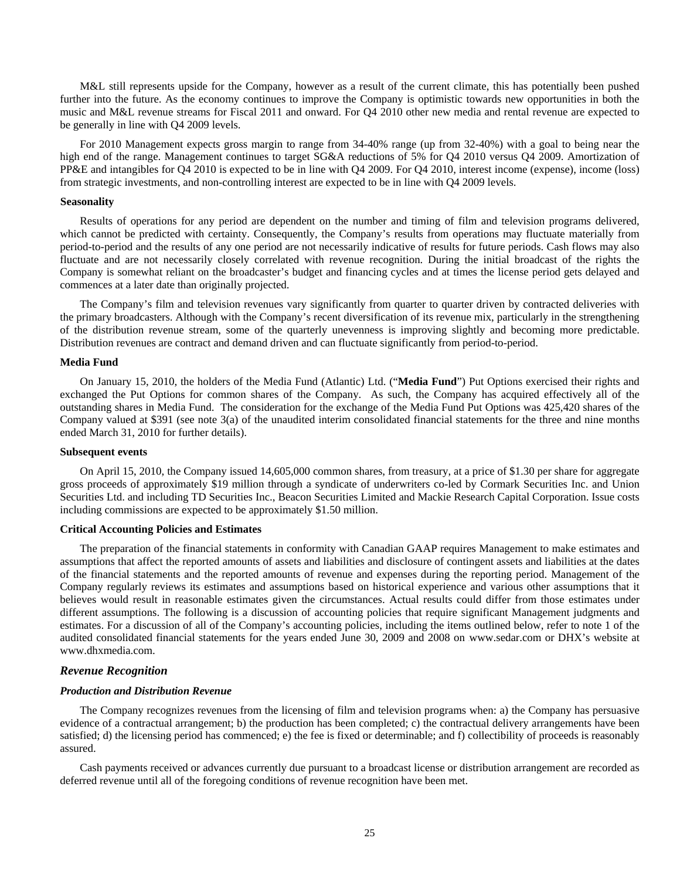M&L still represents upside for the Company, however as a result of the current climate, this has potentially been pushed further into the future. As the economy continues to improve the Company is optimistic towards new opportunities in both the music and M&L revenue streams for Fiscal 2011 and onward. For Q4 2010 other new media and rental revenue are expected to be generally in line with Q4 2009 levels.

For 2010 Management expects gross margin to range from 34-40% range (up from 32-40%) with a goal to being near the high end of the range. Management continues to target SG&A reductions of 5% for Q4 2010 versus Q4 2009. Amortization of PP&E and intangibles for Q4 2010 is expected to be in line with Q4 2009. For Q4 2010, interest income (expense), income (loss) from strategic investments, and non-controlling interest are expected to be in line with Q4 2009 levels.

#### **Seasonality**

Results of operations for any period are dependent on the number and timing of film and television programs delivered, which cannot be predicted with certainty. Consequently, the Company's results from operations may fluctuate materially from period-to-period and the results of any one period are not necessarily indicative of results for future periods. Cash flows may also fluctuate and are not necessarily closely correlated with revenue recognition. During the initial broadcast of the rights the Company is somewhat reliant on the broadcaster's budget and financing cycles and at times the license period gets delayed and commences at a later date than originally projected.

The Company's film and television revenues vary significantly from quarter to quarter driven by contracted deliveries with the primary broadcasters. Although with the Company's recent diversification of its revenue mix, particularly in the strengthening of the distribution revenue stream, some of the quarterly unevenness is improving slightly and becoming more predictable. Distribution revenues are contract and demand driven and can fluctuate significantly from period-to-period.

#### **Media Fund**

On January 15, 2010, the holders of the Media Fund (Atlantic) Ltd. ("**Media Fund**") Put Options exercised their rights and exchanged the Put Options for common shares of the Company. As such, the Company has acquired effectively all of the outstanding shares in Media Fund. The consideration for the exchange of the Media Fund Put Options was 425,420 shares of the Company valued at \$391 (see note 3(a) of the unaudited interim consolidated financial statements for the three and nine months ended March 31, 2010 for further details).

#### **Subsequent events**

On April 15, 2010, the Company issued 14,605,000 common shares, from treasury, at a price of \$1.30 per share for aggregate gross proceeds of approximately \$19 million through a syndicate of underwriters co-led by Cormark Securities Inc. and Union Securities Ltd. and including TD Securities Inc., Beacon Securities Limited and Mackie Research Capital Corporation. Issue costs including commissions are expected to be approximately \$1.50 million.

#### **Critical Accounting Policies and Estimates**

The preparation of the financial statements in conformity with Canadian GAAP requires Management to make estimates and assumptions that affect the reported amounts of assets and liabilities and disclosure of contingent assets and liabilities at the dates of the financial statements and the reported amounts of revenue and expenses during the reporting period. Management of the Company regularly reviews its estimates and assumptions based on historical experience and various other assumptions that it believes would result in reasonable estimates given the circumstances. Actual results could differ from those estimates under different assumptions. The following is a discussion of accounting policies that require significant Management judgments and estimates. For a discussion of all of the Company's accounting policies, including the items outlined below, refer to note 1 of the audited consolidated financial statements for the years ended June 30, 2009 and 2008 on www.sedar.com or DHX's website at www.dhxmedia.com.

#### *Revenue Recognition*

#### *Production and Distribution Revenue*

The Company recognizes revenues from the licensing of film and television programs when: a) the Company has persuasive evidence of a contractual arrangement; b) the production has been completed; c) the contractual delivery arrangements have been satisfied; d) the licensing period has commenced; e) the fee is fixed or determinable; and f) collectibility of proceeds is reasonably assured.

Cash payments received or advances currently due pursuant to a broadcast license or distribution arrangement are recorded as deferred revenue until all of the foregoing conditions of revenue recognition have been met.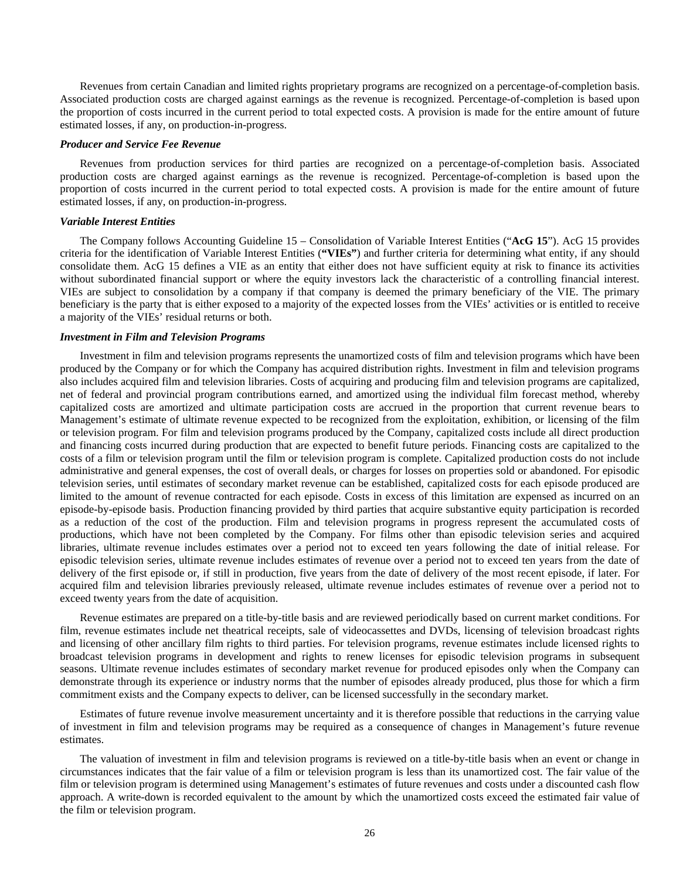Revenues from certain Canadian and limited rights proprietary programs are recognized on a percentage-of-completion basis. Associated production costs are charged against earnings as the revenue is recognized. Percentage-of-completion is based upon the proportion of costs incurred in the current period to total expected costs. A provision is made for the entire amount of future estimated losses, if any, on production-in-progress.

#### *Producer and Service Fee Revenue*

Revenues from production services for third parties are recognized on a percentage-of-completion basis. Associated production costs are charged against earnings as the revenue is recognized. Percentage-of-completion is based upon the proportion of costs incurred in the current period to total expected costs. A provision is made for the entire amount of future estimated losses, if any, on production-in-progress.

#### *Variable Interest Entities*

The Company follows Accounting Guideline 15 – Consolidation of Variable Interest Entities ("**AcG 15**"). AcG 15 provides criteria for the identification of Variable Interest Entities (**"VIEs"**) and further criteria for determining what entity, if any should consolidate them. AcG 15 defines a VIE as an entity that either does not have sufficient equity at risk to finance its activities without subordinated financial support or where the equity investors lack the characteristic of a controlling financial interest. VIEs are subject to consolidation by a company if that company is deemed the primary beneficiary of the VIE. The primary beneficiary is the party that is either exposed to a majority of the expected losses from the VIEs' activities or is entitled to receive a majority of the VIEs' residual returns or both.

#### *Investment in Film and Television Programs*

Investment in film and television programs represents the unamortized costs of film and television programs which have been produced by the Company or for which the Company has acquired distribution rights. Investment in film and television programs also includes acquired film and television libraries. Costs of acquiring and producing film and television programs are capitalized, net of federal and provincial program contributions earned, and amortized using the individual film forecast method, whereby capitalized costs are amortized and ultimate participation costs are accrued in the proportion that current revenue bears to Management's estimate of ultimate revenue expected to be recognized from the exploitation, exhibition, or licensing of the film or television program. For film and television programs produced by the Company, capitalized costs include all direct production and financing costs incurred during production that are expected to benefit future periods. Financing costs are capitalized to the costs of a film or television program until the film or television program is complete. Capitalized production costs do not include administrative and general expenses, the cost of overall deals, or charges for losses on properties sold or abandoned. For episodic television series, until estimates of secondary market revenue can be established, capitalized costs for each episode produced are limited to the amount of revenue contracted for each episode. Costs in excess of this limitation are expensed as incurred on an episode-by-episode basis. Production financing provided by third parties that acquire substantive equity participation is recorded as a reduction of the cost of the production. Film and television programs in progress represent the accumulated costs of productions, which have not been completed by the Company. For films other than episodic television series and acquired libraries, ultimate revenue includes estimates over a period not to exceed ten years following the date of initial release. For episodic television series, ultimate revenue includes estimates of revenue over a period not to exceed ten years from the date of delivery of the first episode or, if still in production, five years from the date of delivery of the most recent episode, if later. For acquired film and television libraries previously released, ultimate revenue includes estimates of revenue over a period not to exceed twenty years from the date of acquisition.

Revenue estimates are prepared on a title-by-title basis and are reviewed periodically based on current market conditions. For film, revenue estimates include net theatrical receipts, sale of videocassettes and DVDs, licensing of television broadcast rights and licensing of other ancillary film rights to third parties. For television programs, revenue estimates include licensed rights to broadcast television programs in development and rights to renew licenses for episodic television programs in subsequent seasons. Ultimate revenue includes estimates of secondary market revenue for produced episodes only when the Company can demonstrate through its experience or industry norms that the number of episodes already produced, plus those for which a firm commitment exists and the Company expects to deliver, can be licensed successfully in the secondary market.

Estimates of future revenue involve measurement uncertainty and it is therefore possible that reductions in the carrying value of investment in film and television programs may be required as a consequence of changes in Management's future revenue estimates.

The valuation of investment in film and television programs is reviewed on a title-by-title basis when an event or change in circumstances indicates that the fair value of a film or television program is less than its unamortized cost. The fair value of the film or television program is determined using Management's estimates of future revenues and costs under a discounted cash flow approach. A write-down is recorded equivalent to the amount by which the unamortized costs exceed the estimated fair value of the film or television program.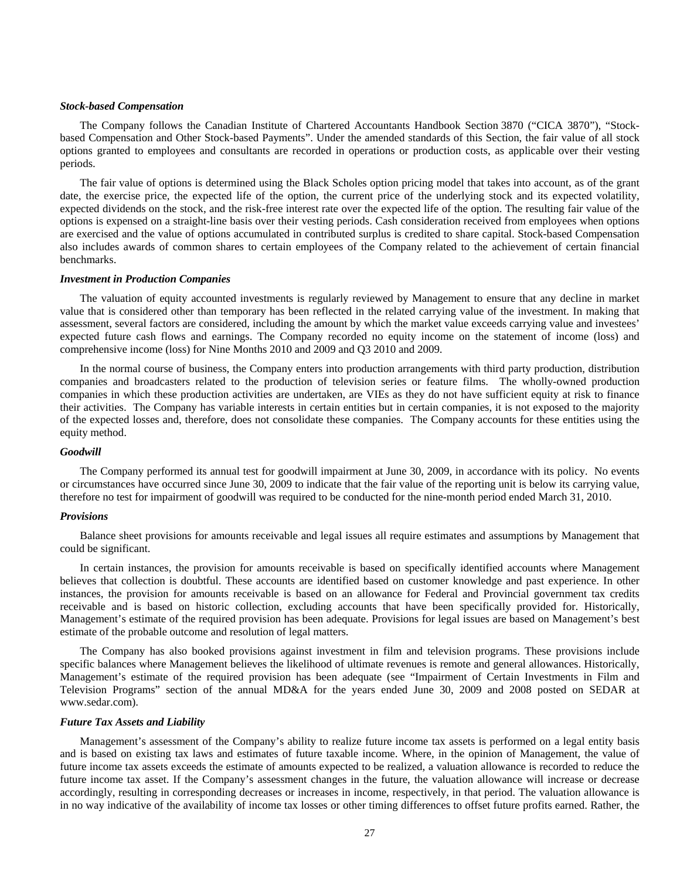#### *Stock-based Compensation*

The Company follows the Canadian Institute of Chartered Accountants Handbook Section 3870 ("CICA 3870"), "Stockbased Compensation and Other Stock-based Payments". Under the amended standards of this Section, the fair value of all stock options granted to employees and consultants are recorded in operations or production costs, as applicable over their vesting periods.

The fair value of options is determined using the Black Scholes option pricing model that takes into account, as of the grant date, the exercise price, the expected life of the option, the current price of the underlying stock and its expected volatility, expected dividends on the stock, and the risk-free interest rate over the expected life of the option. The resulting fair value of the options is expensed on a straight-line basis over their vesting periods. Cash consideration received from employees when options are exercised and the value of options accumulated in contributed surplus is credited to share capital. Stock-based Compensation also includes awards of common shares to certain employees of the Company related to the achievement of certain financial benchmarks.

#### *Investment in Production Companies*

The valuation of equity accounted investments is regularly reviewed by Management to ensure that any decline in market value that is considered other than temporary has been reflected in the related carrying value of the investment. In making that assessment, several factors are considered, including the amount by which the market value exceeds carrying value and investees' expected future cash flows and earnings. The Company recorded no equity income on the statement of income (loss) and comprehensive income (loss) for Nine Months 2010 and 2009 and Q3 2010 and 2009.

In the normal course of business, the Company enters into production arrangements with third party production, distribution companies and broadcasters related to the production of television series or feature films. The wholly-owned production companies in which these production activities are undertaken, are VIEs as they do not have sufficient equity at risk to finance their activities. The Company has variable interests in certain entities but in certain companies, it is not exposed to the majority of the expected losses and, therefore, does not consolidate these companies. The Company accounts for these entities using the equity method.

#### *Goodwill*

The Company performed its annual test for goodwill impairment at June 30, 2009, in accordance with its policy. No events or circumstances have occurred since June 30, 2009 to indicate that the fair value of the reporting unit is below its carrying value, therefore no test for impairment of goodwill was required to be conducted for the nine-month period ended March 31, 2010.

#### *Provisions*

Balance sheet provisions for amounts receivable and legal issues all require estimates and assumptions by Management that could be significant.

In certain instances, the provision for amounts receivable is based on specifically identified accounts where Management believes that collection is doubtful. These accounts are identified based on customer knowledge and past experience. In other instances, the provision for amounts receivable is based on an allowance for Federal and Provincial government tax credits receivable and is based on historic collection, excluding accounts that have been specifically provided for. Historically, Management's estimate of the required provision has been adequate. Provisions for legal issues are based on Management's best estimate of the probable outcome and resolution of legal matters.

The Company has also booked provisions against investment in film and television programs. These provisions include specific balances where Management believes the likelihood of ultimate revenues is remote and general allowances. Historically, Management's estimate of the required provision has been adequate (see "Impairment of Certain Investments in Film and Television Programs" section of the annual MD&A for the years ended June 30, 2009 and 2008 posted on SEDAR at www.sedar.com).

#### *Future Tax Assets and Liability*

Management's assessment of the Company's ability to realize future income tax assets is performed on a legal entity basis and is based on existing tax laws and estimates of future taxable income. Where, in the opinion of Management, the value of future income tax assets exceeds the estimate of amounts expected to be realized, a valuation allowance is recorded to reduce the future income tax asset. If the Company's assessment changes in the future, the valuation allowance will increase or decrease accordingly, resulting in corresponding decreases or increases in income, respectively, in that period. The valuation allowance is in no way indicative of the availability of income tax losses or other timing differences to offset future profits earned. Rather, the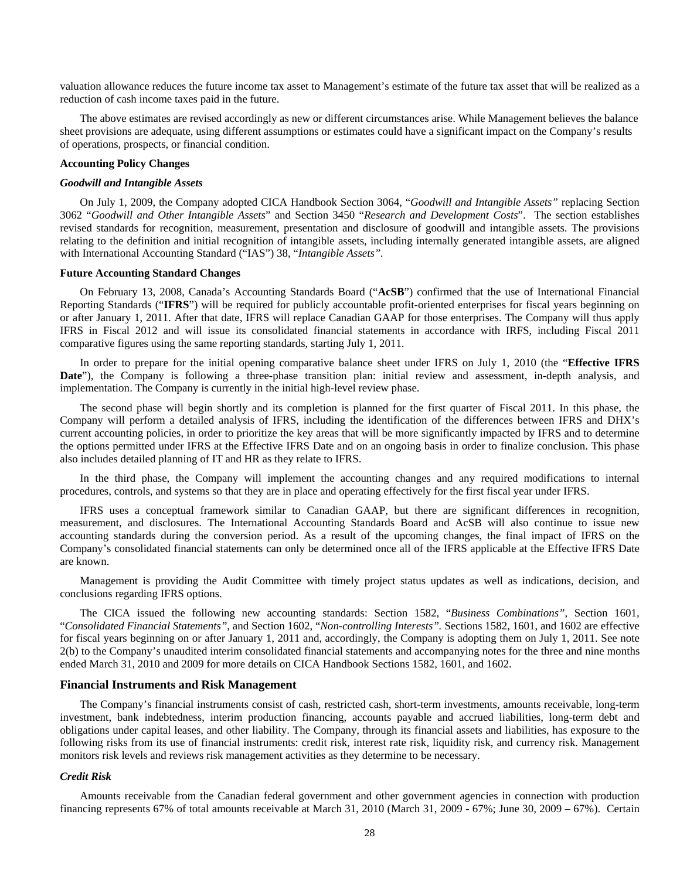valuation allowance reduces the future income tax asset to Management's estimate of the future tax asset that will be realized as a reduction of cash income taxes paid in the future.

The above estimates are revised accordingly as new or different circumstances arise. While Management believes the balance sheet provisions are adequate, using different assumptions or estimates could have a significant impact on the Company's results of operations, prospects, or financial condition.

#### **Accounting Policy Changes**

#### *Goodwill and Intangible Assets*

On July 1, 2009, the Company adopted CICA Handbook Section 3064, "*Goodwill and Intangible Assets"* replacing Section 3062 "*Goodwill and Other Intangible Assets*" and Section 3450 "*Research and Development Costs*". The section establishes revised standards for recognition, measurement, presentation and disclosure of goodwill and intangible assets. The provisions relating to the definition and initial recognition of intangible assets, including internally generated intangible assets, are aligned with International Accounting Standard ("IAS") 38, "*Intangible Assets".* 

#### **Future Accounting Standard Changes**

On February 13, 2008, Canada's Accounting Standards Board ("**AcSB**") confirmed that the use of International Financial Reporting Standards ("**IFRS**") will be required for publicly accountable profit-oriented enterprises for fiscal years beginning on or after January 1, 2011. After that date, IFRS will replace Canadian GAAP for those enterprises. The Company will thus apply IFRS in Fiscal 2012 and will issue its consolidated financial statements in accordance with IRFS, including Fiscal 2011 comparative figures using the same reporting standards, starting July 1, 2011.

In order to prepare for the initial opening comparative balance sheet under IFRS on July 1, 2010 (the "**Effective IFRS Date**"), the Company is following a three-phase transition plan: initial review and assessment, in-depth analysis, and implementation. The Company is currently in the initial high-level review phase.

The second phase will begin shortly and its completion is planned for the first quarter of Fiscal 2011. In this phase, the Company will perform a detailed analysis of IFRS, including the identification of the differences between IFRS and DHX's current accounting policies, in order to prioritize the key areas that will be more significantly impacted by IFRS and to determine the options permitted under IFRS at the Effective IFRS Date and on an ongoing basis in order to finalize conclusion. This phase also includes detailed planning of IT and HR as they relate to IFRS.

In the third phase, the Company will implement the accounting changes and any required modifications to internal procedures, controls, and systems so that they are in place and operating effectively for the first fiscal year under IFRS.

IFRS uses a conceptual framework similar to Canadian GAAP, but there are significant differences in recognition, measurement, and disclosures. The International Accounting Standards Board and AcSB will also continue to issue new accounting standards during the conversion period. As a result of the upcoming changes, the final impact of IFRS on the Company's consolidated financial statements can only be determined once all of the IFRS applicable at the Effective IFRS Date are known.

Management is providing the Audit Committee with timely project status updates as well as indications, decision, and conclusions regarding IFRS options.

The CICA issued the following new accounting standards: Section 1582, "*Business Combinations"*, Section 1601, "*Consolidated Financial Statements"*, and Section 1602, "*Non-controlling Interests".* Sections 1582, 1601, and 1602 are effective for fiscal years beginning on or after January 1, 2011 and, accordingly, the Company is adopting them on July 1, 2011. See note 2(b) to the Company's unaudited interim consolidated financial statements and accompanying notes for the three and nine months ended March 31, 2010 and 2009 for more details on CICA Handbook Sections 1582, 1601, and 1602.

#### **Financial Instruments and Risk Management**

The Company's financial instruments consist of cash, restricted cash, short-term investments, amounts receivable, long-term investment, bank indebtedness, interim production financing, accounts payable and accrued liabilities, long-term debt and obligations under capital leases, and other liability. The Company, through its financial assets and liabilities, has exposure to the following risks from its use of financial instruments: credit risk, interest rate risk, liquidity risk, and currency risk. Management monitors risk levels and reviews risk management activities as they determine to be necessary.

#### *Credit Risk*

Amounts receivable from the Canadian federal government and other government agencies in connection with production financing represents 67% of total amounts receivable at March 31, 2010 (March 31, 2009 - 67%; June 30, 2009 – 67%). Certain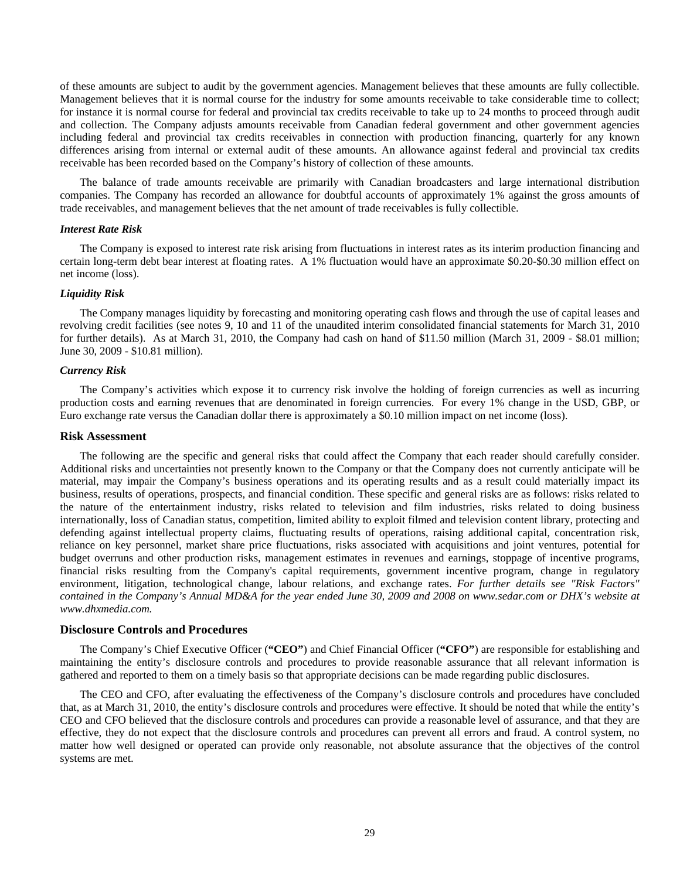of these amounts are subject to audit by the government agencies. Management believes that these amounts are fully collectible. Management believes that it is normal course for the industry for some amounts receivable to take considerable time to collect; for instance it is normal course for federal and provincial tax credits receivable to take up to 24 months to proceed through audit and collection. The Company adjusts amounts receivable from Canadian federal government and other government agencies including federal and provincial tax credits receivables in connection with production financing, quarterly for any known differences arising from internal or external audit of these amounts. An allowance against federal and provincial tax credits receivable has been recorded based on the Company's history of collection of these amounts.

The balance of trade amounts receivable are primarily with Canadian broadcasters and large international distribution companies. The Company has recorded an allowance for doubtful accounts of approximately 1% against the gross amounts of trade receivables, and management believes that the net amount of trade receivables is fully collectible.

#### *Interest Rate Risk*

The Company is exposed to interest rate risk arising from fluctuations in interest rates as its interim production financing and certain long-term debt bear interest at floating rates. A 1% fluctuation would have an approximate \$0.20-\$0.30 million effect on net income (loss).

#### *Liquidity Risk*

The Company manages liquidity by forecasting and monitoring operating cash flows and through the use of capital leases and revolving credit facilities (see notes 9, 10 and 11 of the unaudited interim consolidated financial statements for March 31, 2010 for further details). As at March 31, 2010, the Company had cash on hand of \$11.50 million (March 31, 2009 - \$8.01 million; June 30, 2009 - \$10.81 million).

#### *Currency Risk*

The Company's activities which expose it to currency risk involve the holding of foreign currencies as well as incurring production costs and earning revenues that are denominated in foreign currencies. For every 1% change in the USD, GBP, or Euro exchange rate versus the Canadian dollar there is approximately a \$0.10 million impact on net income (loss).

#### **Risk Assessment**

The following are the specific and general risks that could affect the Company that each reader should carefully consider. Additional risks and uncertainties not presently known to the Company or that the Company does not currently anticipate will be material, may impair the Company's business operations and its operating results and as a result could materially impact its business, results of operations, prospects, and financial condition. These specific and general risks are as follows: risks related to the nature of the entertainment industry, risks related to television and film industries, risks related to doing business internationally, loss of Canadian status, competition, limited ability to exploit filmed and television content library, protecting and defending against intellectual property claims, fluctuating results of operations, raising additional capital, concentration risk, reliance on key personnel, market share price fluctuations, risks associated with acquisitions and joint ventures, potential for budget overruns and other production risks, management estimates in revenues and earnings, stoppage of incentive programs, financial risks resulting from the Company's capital requirements, government incentive program, change in regulatory environment, litigation, technological change, labour relations, and exchange rates. *For further details see "Risk Factors" contained in the Company's Annual MD&A for the year ended June 30, 2009 and 2008 on www.sedar.com or DHX's website at* 15H*www.dhxmedia.com.* 

#### **Disclosure Controls and Procedures**

The Company's Chief Executive Officer (**"CEO"**) and Chief Financial Officer (**"CFO"**) are responsible for establishing and maintaining the entity's disclosure controls and procedures to provide reasonable assurance that all relevant information is gathered and reported to them on a timely basis so that appropriate decisions can be made regarding public disclosures.

The CEO and CFO, after evaluating the effectiveness of the Company's disclosure controls and procedures have concluded that, as at March 31, 2010, the entity's disclosure controls and procedures were effective. It should be noted that while the entity's CEO and CFO believed that the disclosure controls and procedures can provide a reasonable level of assurance, and that they are effective, they do not expect that the disclosure controls and procedures can prevent all errors and fraud. A control system, no matter how well designed or operated can provide only reasonable, not absolute assurance that the objectives of the control systems are met.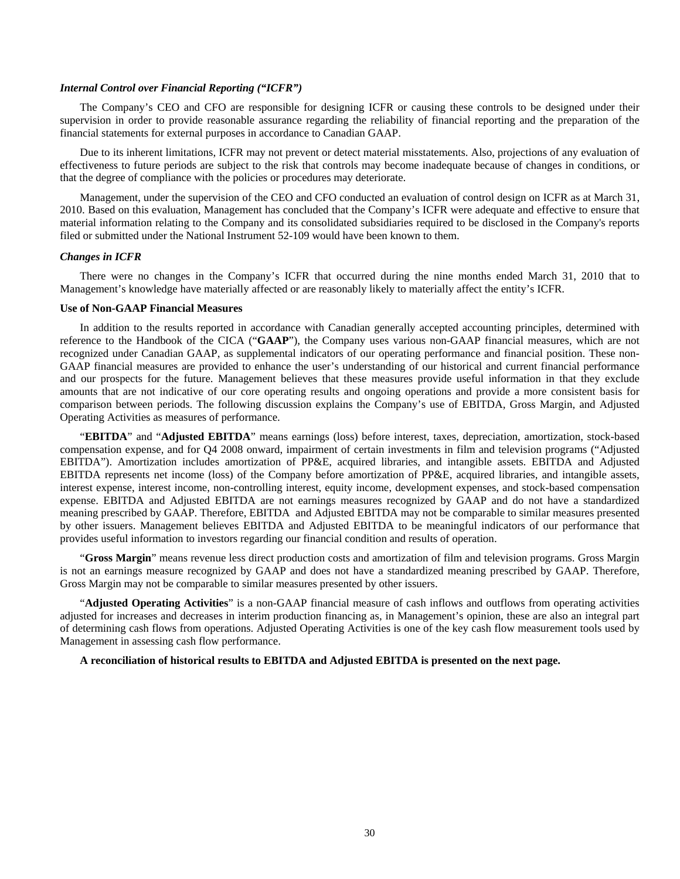#### *Internal Control over Financial Reporting ("ICFR")*

The Company's CEO and CFO are responsible for designing ICFR or causing these controls to be designed under their supervision in order to provide reasonable assurance regarding the reliability of financial reporting and the preparation of the financial statements for external purposes in accordance to Canadian GAAP.

Due to its inherent limitations, ICFR may not prevent or detect material misstatements. Also, projections of any evaluation of effectiveness to future periods are subject to the risk that controls may become inadequate because of changes in conditions, or that the degree of compliance with the policies or procedures may deteriorate.

Management, under the supervision of the CEO and CFO conducted an evaluation of control design on ICFR as at March 31, 2010. Based on this evaluation, Management has concluded that the Company's ICFR were adequate and effective to ensure that material information relating to the Company and its consolidated subsidiaries required to be disclosed in the Company's reports filed or submitted under the National Instrument 52-109 would have been known to them.

#### *Changes in ICFR*

There were no changes in the Company's ICFR that occurred during the nine months ended March 31, 2010 that to Management's knowledge have materially affected or are reasonably likely to materially affect the entity's ICFR.

#### **Use of Non-GAAP Financial Measures**

In addition to the results reported in accordance with Canadian generally accepted accounting principles, determined with reference to the Handbook of the CICA ("**GAAP**"), the Company uses various non-GAAP financial measures, which are not recognized under Canadian GAAP, as supplemental indicators of our operating performance and financial position. These non-GAAP financial measures are provided to enhance the user's understanding of our historical and current financial performance and our prospects for the future. Management believes that these measures provide useful information in that they exclude amounts that are not indicative of our core operating results and ongoing operations and provide a more consistent basis for comparison between periods. The following discussion explains the Company's use of EBITDA, Gross Margin, and Adjusted Operating Activities as measures of performance.

"**EBITDA**" and "**Adjusted EBITDA**" means earnings (loss) before interest, taxes, depreciation, amortization, stock-based compensation expense, and for Q4 2008 onward, impairment of certain investments in film and television programs ("Adjusted EBITDA"). Amortization includes amortization of PP&E, acquired libraries, and intangible assets. EBITDA and Adjusted EBITDA represents net income (loss) of the Company before amortization of PP&E, acquired libraries, and intangible assets, interest expense, interest income, non-controlling interest, equity income, development expenses, and stock-based compensation expense. EBITDA and Adjusted EBITDA are not earnings measures recognized by GAAP and do not have a standardized meaning prescribed by GAAP. Therefore, EBITDA and Adjusted EBITDA may not be comparable to similar measures presented by other issuers. Management believes EBITDA and Adjusted EBITDA to be meaningful indicators of our performance that provides useful information to investors regarding our financial condition and results of operation.

"**Gross Margin**" means revenue less direct production costs and amortization of film and television programs. Gross Margin is not an earnings measure recognized by GAAP and does not have a standardized meaning prescribed by GAAP. Therefore, Gross Margin may not be comparable to similar measures presented by other issuers.

"**Adjusted Operating Activities**" is a non-GAAP financial measure of cash inflows and outflows from operating activities adjusted for increases and decreases in interim production financing as, in Management's opinion, these are also an integral part of determining cash flows from operations. Adjusted Operating Activities is one of the key cash flow measurement tools used by Management in assessing cash flow performance.

#### **A reconciliation of historical results to EBITDA and Adjusted EBITDA is presented on the next page.**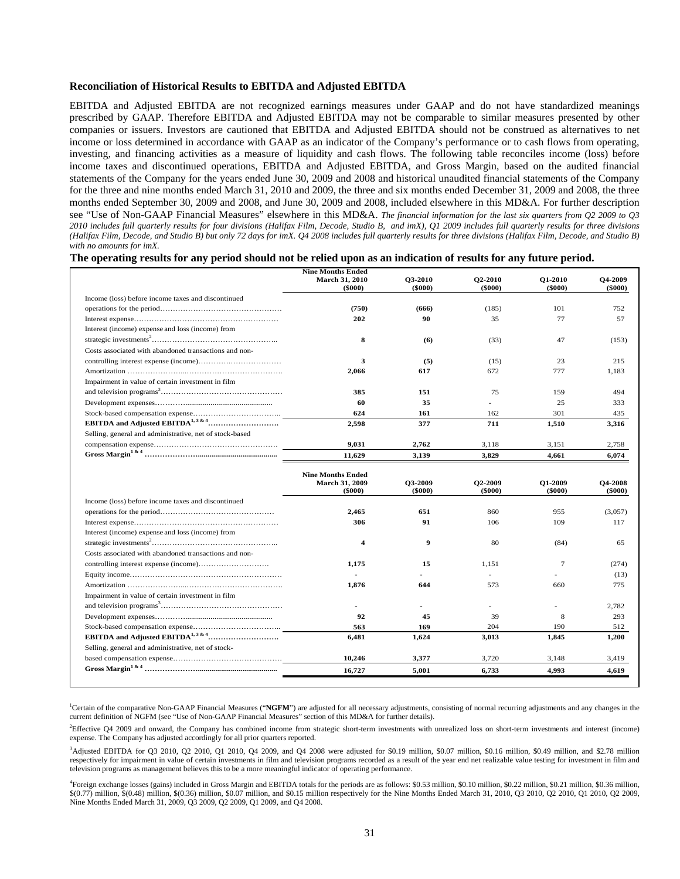#### **Reconciliation of Historical Results to EBITDA and Adjusted EBITDA**

EBITDA and Adjusted EBITDA are not recognized earnings measures under GAAP and do not have standardized meanings prescribed by GAAP. Therefore EBITDA and Adjusted EBITDA may not be comparable to similar measures presented by other companies or issuers. Investors are cautioned that EBITDA and Adjusted EBITDA should not be construed as alternatives to net income or loss determined in accordance with GAAP as an indicator of the Company's performance or to cash flows from operating, investing, and financing activities as a measure of liquidity and cash flows. The following table reconciles income (loss) before income taxes and discontinued operations, EBITDA and Adjusted EBITDA, and Gross Margin, based on the audited financial statements of the Company for the years ended June 30, 2009 and 2008 and historical unaudited financial statements of the Company for the three and nine months ended March 31, 2010 and 2009, the three and six months ended December 31, 2009 and 2008, the three months ended September 30, 2009 and 2008, and June 30, 2009 and 2008, included elsewhere in this MD&A. For further description see "Use of Non-GAAP Financial Measures" elsewhere in this MD&A. *The financial information for the last six quarters from Q2 2009 to Q3 2010 includes full quarterly results for four divisions (Halifax Film, Decode, Studio B, and imX), Q1 2009 includes full quarterly results for three divisions (Halifax Film, Decode, and Studio B) but only 72 days for imX. Q4 2008 includes full quarterly results for three divisions (Halifax Film, Decode, and Studio B) with no amounts for imX.* 

| The operating results for any period should not be relied upon as an indication of results for any future period. |  |  |
|-------------------------------------------------------------------------------------------------------------------|--|--|
|                                                                                                                   |  |  |

|                                                         | <b>Nine Months Ended</b>                               |                      |                            |                           |                           |
|---------------------------------------------------------|--------------------------------------------------------|----------------------|----------------------------|---------------------------|---------------------------|
|                                                         | <b>March 31, 2010</b><br>$($ \$000 $)$                 | O3-2010<br>(\$000)   | <b>O2-2010</b><br>(5000)   | <b>O1-2010</b><br>(\$000) | <b>Q4-2009</b><br>(\$000) |
| Income (loss) before income taxes and discontinued      |                                                        |                      |                            |                           |                           |
|                                                         | (750)                                                  | (666)                | (185)                      | 101                       | 752                       |
|                                                         | 202                                                    | 90                   | 35                         | 77                        | 57                        |
| Interest (income) expense and loss (income) from        |                                                        |                      |                            |                           |                           |
|                                                         | 8                                                      | (6)                  | (33)                       | 47                        | (153)                     |
| Costs associated with abandoned transactions and non-   |                                                        |                      |                            |                           |                           |
|                                                         | 3                                                      | (5)                  | (15)                       | 23                        | 215                       |
|                                                         | 2,066                                                  | 617                  | 672                        | 777                       | 1,183                     |
| Impairment in value of certain investment in film       |                                                        |                      |                            |                           |                           |
|                                                         | 385                                                    | 151                  | 75                         | 159                       | 494                       |
|                                                         | 60                                                     | 35                   |                            | 25                        | 333                       |
|                                                         | 624                                                    | 161                  | 162                        | 301                       | 435                       |
|                                                         | 2,598                                                  | 377                  | 711                        | 1,510                     | 3,316                     |
| Selling, general and administrative, net of stock-based |                                                        |                      |                            |                           |                           |
|                                                         | 9,031                                                  | 2,762                | 3,118                      | 3,151                     | 2,758                     |
|                                                         | 11,629                                                 | 3,139                | 3,829                      | 4,661                     | 6,074                     |
|                                                         | <b>Nine Months Ended</b><br>March 31, 2009<br>( \$000) | Q3-2009<br>$(\$000)$ | <b>Q2-2009</b><br>( \$000) | O1-2009<br>$(\$000)$      | Q4-2008<br>$(\$000)$      |
| Income (loss) before income taxes and discontinued      |                                                        |                      |                            |                           |                           |
|                                                         | 2,465                                                  | 651                  | 860                        | 955                       | (3,057)                   |
|                                                         | 306                                                    | 91                   | 106                        | 109                       | 117                       |
| Interest (income) expense and loss (income) from        |                                                        |                      |                            |                           |                           |
|                                                         | $\overline{\mathbf{4}}$                                | 9                    | 80                         | (84)                      | 65                        |
| Costs associated with abandoned transactions and non-   |                                                        |                      |                            |                           |                           |
|                                                         | 1,175                                                  | 15                   | 1.151                      | $\tau$                    | (274)                     |
|                                                         |                                                        |                      |                            |                           | (13)                      |
|                                                         | 1,876                                                  | 644                  | 573                        | 660                       | 775                       |
| Impairment in value of certain investment in film       |                                                        |                      |                            |                           |                           |
|                                                         | $\blacksquare$                                         |                      | $\overline{a}$             | $\overline{a}$            | 2,782                     |
|                                                         | 92                                                     | 45                   | 39                         | $\bf 8$                   | 293                       |
|                                                         | 563                                                    | 169                  | 204                        | 190                       | 512                       |
|                                                         | 6.481                                                  | 1,624                | 3,013                      | 1.845                     | 1,200                     |
| Selling, general and administrative, net of stock-      |                                                        |                      |                            |                           |                           |
|                                                         | 10,246                                                 | 3,377                | 3,720                      | 3,148                     | 3,419                     |
|                                                         |                                                        |                      |                            |                           |                           |

<sup>1</sup>Certain of the comparative Non-GAAP Financial Measures ("NGFM") are adjusted for all necessary adjustments, consisting of normal recurring adjustments and any changes in the current definition of NGFM (see "Use of Non-GAAP Financial Measures" section of this MD&A for further details).

2 Effective Q4 2009 and onward, the Company has combined income from strategic short-term investments with unrealized loss on short-term investments and interest (income) expense. The Company has adjusted accordingly for all prior quarters reported.

<sup>3</sup>Adjusted EBITDA for Q3 2010, Q2 2010, Q1 2010, Q4 2009, and Q4 2008 were adjusted for \$0.19 million, \$0.07 million, \$0.16 million, \$0.49 million, and \$2.78 million respectively for impairment in value of certain investments in film and television programs recorded as a result of the year end net realizable value testing for investment in film and television programs as management believes this to be a more meaningful indicator of operating performance.

4 Foreign exchange losses (gains) included in Gross Margin and EBITDA totals for the periods are as follows: \$0.53 million, \$0.10 million, \$0.22 million, \$0.21 million, \$0.36 million, \$(0.77) million, \$(0.48) million, \$(0.36) million, \$0.07 million, and \$0.15 million respectively for the Nine Months Ended March 31, 2010, Q3 2010, Q2 2010, Q1 2010, Q2 2009, Nine Months Ended March 31, 2009, Q3 2009, Q2 2009, Q1 2009, and Q4 2008.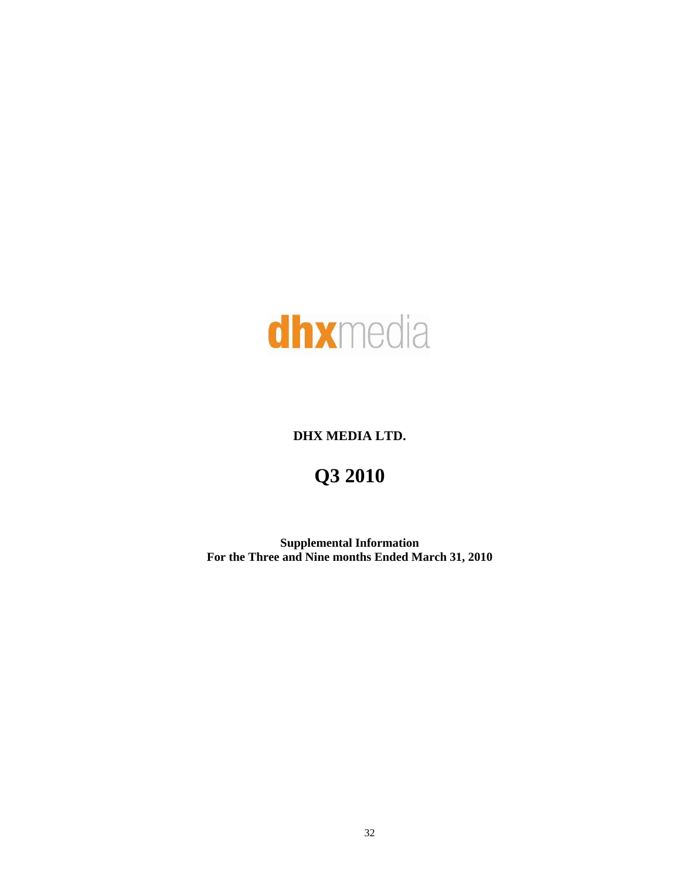

# **DHX MEDIA LTD.**

# **Q3 2010**

**Supplemental Information For the Three and Nine months Ended March 31, 2010**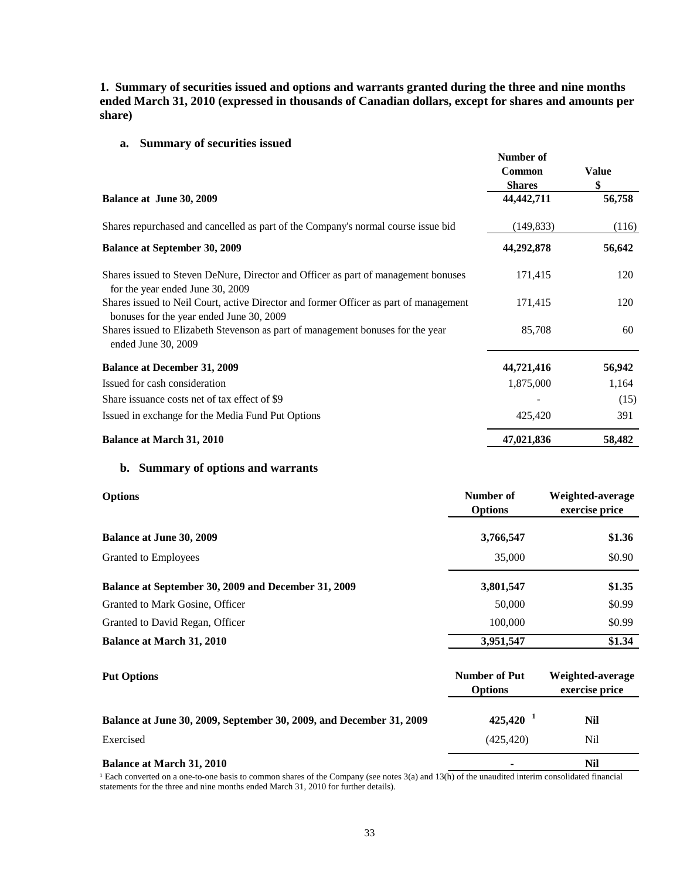**1. Summary of securities issued and options and warrants granted during the three and nine months ended March 31, 2010 (expressed in thousands of Canadian dollars, except for shares and amounts per share)** 

**Number of** 

**a. Summary of securities issued** 

|                                                                                                                                   | <b>Common</b><br><b>Shares</b> | <b>Value</b><br>\$ |
|-----------------------------------------------------------------------------------------------------------------------------------|--------------------------------|--------------------|
| Balance at June 30, 2009                                                                                                          | 44,442,711                     | 56,758             |
| Shares repurchased and cancelled as part of the Company's normal course issue bid                                                 | (149, 833)                     | (116)              |
| <b>Balance at September 30, 2009</b>                                                                                              | 44,292,878                     | 56,642             |
| Shares issued to Steven DeNure, Director and Officer as part of management bonuses<br>for the year ended June 30, 2009            | 171,415                        | 120                |
| Shares issued to Neil Court, active Director and former Officer as part of management<br>bonuses for the year ended June 30, 2009 | 171,415                        | 120                |
| Shares issued to Elizabeth Stevenson as part of management bonuses for the year<br>ended June 30, 2009                            | 85,708                         | 60                 |
| <b>Balance at December 31, 2009</b>                                                                                               | 44,721,416                     | 56,942             |
| Issued for cash consideration                                                                                                     | 1,875,000                      | 1,164              |
| Share issuance costs net of tax effect of \$9                                                                                     |                                | (15)               |
| Issued in exchange for the Media Fund Put Options                                                                                 | 425,420                        | 391                |
| <b>Balance at March 31, 2010</b>                                                                                                  | 47,021,836                     | 58,482             |

# **b. Summary of options and warrants**

| <b>Options</b>                                                      | Number of<br><b>Options</b>            | Weighted-average<br>exercise price |
|---------------------------------------------------------------------|----------------------------------------|------------------------------------|
| <b>Balance at June 30, 2009</b>                                     | 3,766,547                              | \$1.36                             |
| Granted to Employees                                                | 35,000                                 | \$0.90                             |
| Balance at September 30, 2009 and December 31, 2009                 | 3,801,547                              | \$1.35                             |
| Granted to Mark Gosine, Officer                                     | 50,000                                 | \$0.99                             |
| Granted to David Regan, Officer                                     | 100,000                                | \$0.99                             |
| <b>Balance at March 31, 2010</b>                                    | 3,951,547                              | \$1.34                             |
| <b>Put Options</b>                                                  | <b>Number of Put</b><br><b>Options</b> | Weighted-average<br>exercise price |
| Balance at June 30, 2009, September 30, 2009, and December 31, 2009 | 425,420                                | Nil                                |
| Exercised                                                           | (425, 420)                             | Nil                                |

# **Balance at March 31, 2010** - Nil

<sup>1</sup> Each converted on a one-to-one basis to common shares of the Company (see notes  $3(a)$  and  $13(h)$  of the unaudited interim consolidated financial statements for the three and nine months ended March 31, 2010 for further details).